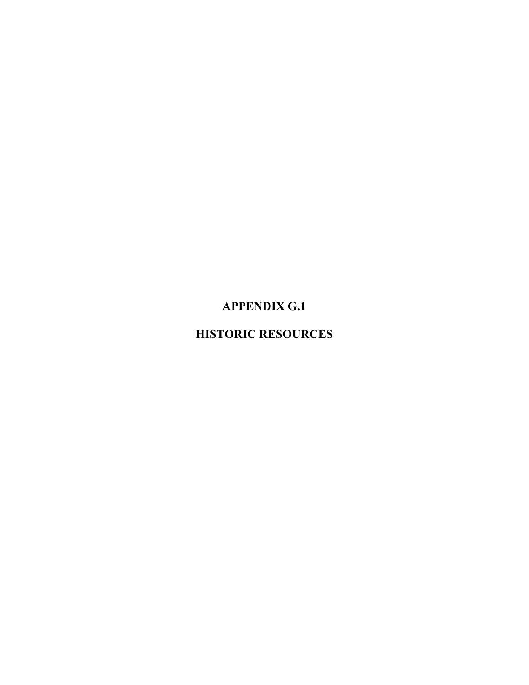# **APPENDIX G.1**

# **HISTORIC RESOURCES**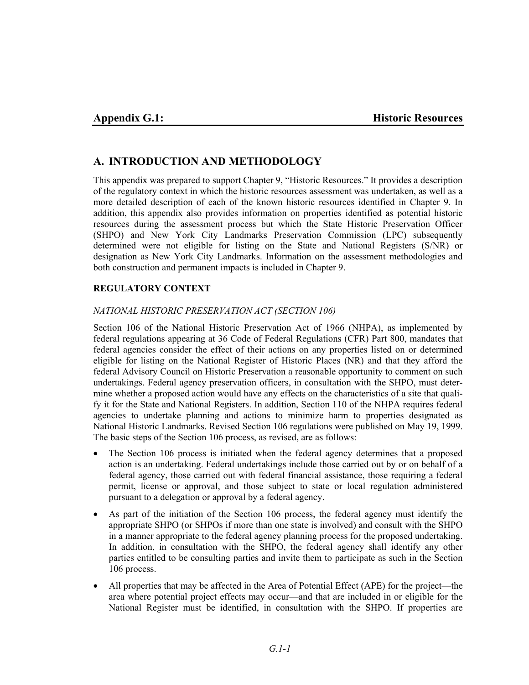# **A. INTRODUCTION AND METHODOLOGY**

This appendix was prepared to support Chapter 9, "Historic Resources." It provides a description of the regulatory context in which the historic resources assessment was undertaken, as well as a more detailed description of each of the known historic resources identified in Chapter 9. In addition, this appendix also provides information on properties identified as potential historic resources during the assessment process but which the State Historic Preservation Officer (SHPO) and New York City Landmarks Preservation Commission (LPC) subsequently determined were not eligible for listing on the State and National Registers (S/NR) or designation as New York City Landmarks. Information on the assessment methodologies and both construction and permanent impacts is included in Chapter 9.

## **REGULATORY CONTEXT**

#### *NATIONAL HISTORIC PRESERVATION ACT (SECTION 106)*

Section 106 of the National Historic Preservation Act of 1966 (NHPA), as implemented by federal regulations appearing at 36 Code of Federal Regulations (CFR) Part 800, mandates that federal agencies consider the effect of their actions on any properties listed on or determined eligible for listing on the National Register of Historic Places (NR) and that they afford the federal Advisory Council on Historic Preservation a reasonable opportunity to comment on such undertakings. Federal agency preservation officers, in consultation with the SHPO, must determine whether a proposed action would have any effects on the characteristics of a site that qualify it for the State and National Registers. In addition, Section 110 of the NHPA requires federal agencies to undertake planning and actions to minimize harm to properties designated as National Historic Landmarks. Revised Section 106 regulations were published on May 19, 1999. The basic steps of the Section 106 process, as revised, are as follows:

- The Section 106 process is initiated when the federal agency determines that a proposed action is an undertaking. Federal undertakings include those carried out by or on behalf of a federal agency, those carried out with federal financial assistance, those requiring a federal permit, license or approval, and those subject to state or local regulation administered pursuant to a delegation or approval by a federal agency.
- As part of the initiation of the Section 106 process, the federal agency must identify the appropriate SHPO (or SHPOs if more than one state is involved) and consult with the SHPO in a manner appropriate to the federal agency planning process for the proposed undertaking. In addition, in consultation with the SHPO, the federal agency shall identify any other parties entitled to be consulting parties and invite them to participate as such in the Section 106 process.
- All properties that may be affected in the Area of Potential Effect (APE) for the project—the area where potential project effects may occur—and that are included in or eligible for the National Register must be identified, in consultation with the SHPO. If properties are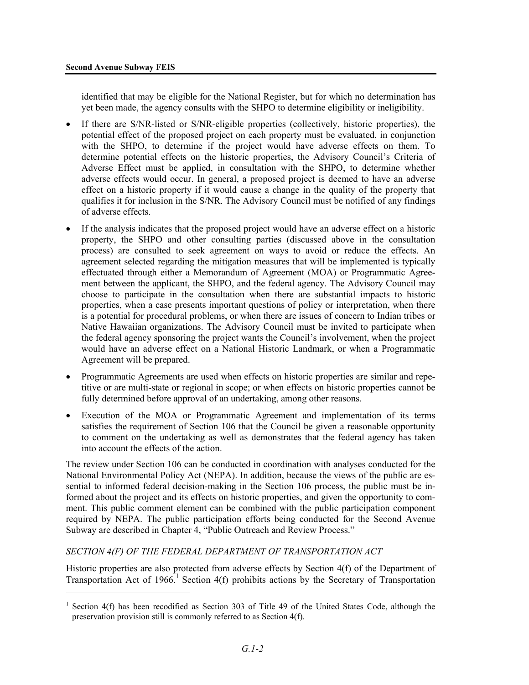<u>.</u>

identified that may be eligible for the National Register, but for which no determination has yet been made, the agency consults with the SHPO to determine eligibility or ineligibility.

- If there are S/NR-listed or S/NR-eligible properties (collectively, historic properties), the potential effect of the proposed project on each property must be evaluated, in conjunction with the SHPO, to determine if the project would have adverse effects on them. To determine potential effects on the historic properties, the Advisory Council's Criteria of Adverse Effect must be applied, in consultation with the SHPO, to determine whether adverse effects would occur. In general, a proposed project is deemed to have an adverse effect on a historic property if it would cause a change in the quality of the property that qualifies it for inclusion in the S/NR. The Advisory Council must be notified of any findings of adverse effects.
- If the analysis indicates that the proposed project would have an adverse effect on a historic property, the SHPO and other consulting parties (discussed above in the consultation process) are consulted to seek agreement on ways to avoid or reduce the effects. An agreement selected regarding the mitigation measures that will be implemented is typically effectuated through either a Memorandum of Agreement (MOA) or Programmatic Agreement between the applicant, the SHPO, and the federal agency. The Advisory Council may choose to participate in the consultation when there are substantial impacts to historic properties, when a case presents important questions of policy or interpretation, when there is a potential for procedural problems, or when there are issues of concern to Indian tribes or Native Hawaiian organizations. The Advisory Council must be invited to participate when the federal agency sponsoring the project wants the Council's involvement, when the project would have an adverse effect on a National Historic Landmark, or when a Programmatic Agreement will be prepared.
- Programmatic Agreements are used when effects on historic properties are similar and repetitive or are multi-state or regional in scope; or when effects on historic properties cannot be fully determined before approval of an undertaking, among other reasons.
- Execution of the MOA or Programmatic Agreement and implementation of its terms satisfies the requirement of Section 106 that the Council be given a reasonable opportunity to comment on the undertaking as well as demonstrates that the federal agency has taken into account the effects of the action.

The review under Section 106 can be conducted in coordination with analyses conducted for the National Environmental Policy Act (NEPA). In addition, because the views of the public are essential to informed federal decision-making in the Section 106 process, the public must be informed about the project and its effects on historic properties, and given the opportunity to comment. This public comment element can be combined with the public participation component required by NEPA. The public participation efforts being conducted for the Second Avenue Subway are described in Chapter 4, "Public Outreach and Review Process."

#### *SECTION 4(F) OF THE FEDERAL DEPARTMENT OF TRANSPORTATION ACT*

Historic properties are also protected from adverse effects by Section 4(f) of the Department of Transportation Act of 1966.<sup>1</sup> Section 4(f) prohibits actions by the Secretary of Transportation

<sup>&</sup>lt;sup>1</sup> Section 4(f) has been recodified as Section 303 of Title 49 of the United States Code, although the preservation provision still is commonly referred to as Section 4(f).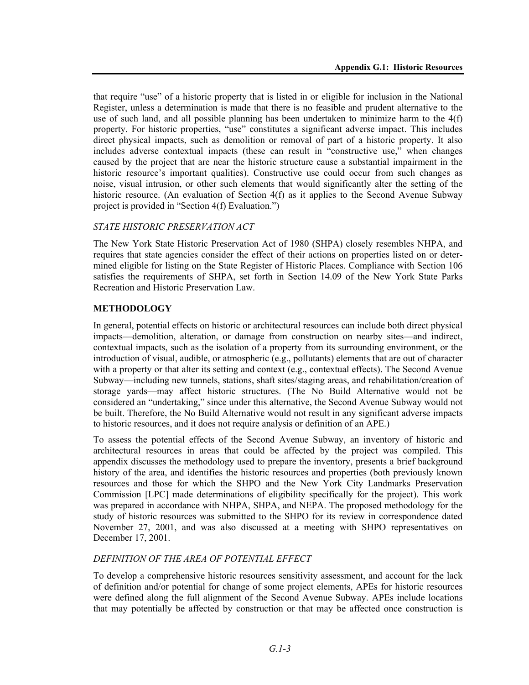that require "use" of a historic property that is listed in or eligible for inclusion in the National Register, unless a determination is made that there is no feasible and prudent alternative to the use of such land, and all possible planning has been undertaken to minimize harm to the 4(f) property. For historic properties, "use" constitutes a significant adverse impact. This includes direct physical impacts, such as demolition or removal of part of a historic property. It also includes adverse contextual impacts (these can result in "constructive use," when changes caused by the project that are near the historic structure cause a substantial impairment in the historic resource's important qualities). Constructive use could occur from such changes as noise, visual intrusion, or other such elements that would significantly alter the setting of the historic resource. (An evaluation of Section 4(f) as it applies to the Second Avenue Subway project is provided in "Section 4(f) Evaluation.")

#### *STATE HISTORIC PRESERVATION ACT*

The New York State Historic Preservation Act of 1980 (SHPA) closely resembles NHPA, and requires that state agencies consider the effect of their actions on properties listed on or determined eligible for listing on the State Register of Historic Places. Compliance with Section 106 satisfies the requirements of SHPA, set forth in Section 14.09 of the New York State Parks Recreation and Historic Preservation Law.

#### **METHODOLOGY**

In general, potential effects on historic or architectural resources can include both direct physical impacts—demolition, alteration, or damage from construction on nearby sites—and indirect, contextual impacts, such as the isolation of a property from its surrounding environment, or the introduction of visual, audible, or atmospheric (e.g., pollutants) elements that are out of character with a property or that alter its setting and context (e.g., contextual effects). The Second Avenue Subway—including new tunnels, stations, shaft sites/staging areas, and rehabilitation/creation of storage yards—may affect historic structures. (The No Build Alternative would not be considered an "undertaking," since under this alternative, the Second Avenue Subway would not be built. Therefore, the No Build Alternative would not result in any significant adverse impacts to historic resources, and it does not require analysis or definition of an APE.)

To assess the potential effects of the Second Avenue Subway, an inventory of historic and architectural resources in areas that could be affected by the project was compiled. This appendix discusses the methodology used to prepare the inventory, presents a brief background history of the area, and identifies the historic resources and properties (both previously known resources and those for which the SHPO and the New York City Landmarks Preservation Commission [LPC] made determinations of eligibility specifically for the project). This work was prepared in accordance with NHPA, SHPA, and NEPA. The proposed methodology for the study of historic resources was submitted to the SHPO for its review in correspondence dated November 27, 2001, and was also discussed at a meeting with SHPO representatives on December 17, 2001.

#### *DEFINITION OF THE AREA OF POTENTIAL EFFECT*

To develop a comprehensive historic resources sensitivity assessment, and account for the lack of definition and/or potential for change of some project elements, APEs for historic resources were defined along the full alignment of the Second Avenue Subway. APEs include locations that may potentially be affected by construction or that may be affected once construction is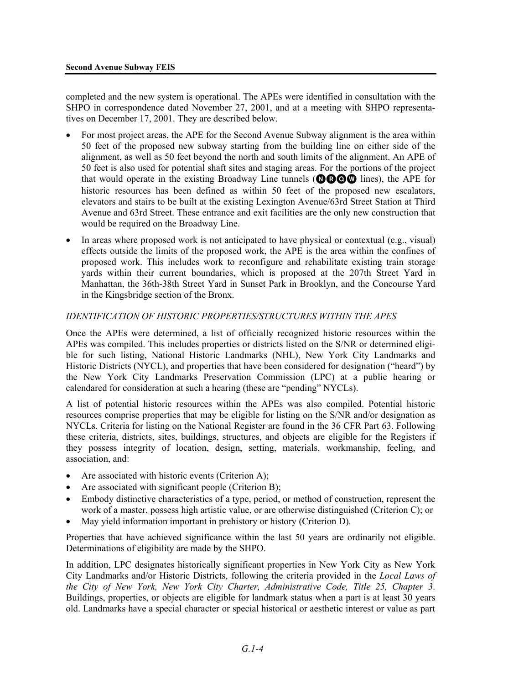completed and the new system is operational. The APEs were identified in consultation with the SHPO in correspondence dated November 27, 2001, and at a meeting with SHPO representatives on December 17, 2001. They are described below.

- For most project areas, the APE for the Second Avenue Subway alignment is the area within 50 feet of the proposed new subway starting from the building line on either side of the alignment, as well as 50 feet beyond the north and south limits of the alignment. An APE of 50 feet is also used for potential shaft sites and staging areas. For the portions of the project that would operate in the existing Broadway Line tunnels ( $\mathbf{QQQQ}$  lines), the APE for historic resources has been defined as within 50 feet of the proposed new escalators, elevators and stairs to be built at the existing Lexington Avenue/63rd Street Station at Third Avenue and 63rd Street. These entrance and exit facilities are the only new construction that would be required on the Broadway Line.
- In areas where proposed work is not anticipated to have physical or contextual (e.g., visual) effects outside the limits of the proposed work, the APE is the area within the confines of proposed work. This includes work to reconfigure and rehabilitate existing train storage yards within their current boundaries, which is proposed at the 207th Street Yard in Manhattan, the 36th-38th Street Yard in Sunset Park in Brooklyn, and the Concourse Yard in the Kingsbridge section of the Bronx.

#### *IDENTIFICATION OF HISTORIC PROPERTIES/STRUCTURES WITHIN THE APES*

Once the APEs were determined, a list of officially recognized historic resources within the APEs was compiled. This includes properties or districts listed on the S/NR or determined eligible for such listing, National Historic Landmarks (NHL), New York City Landmarks and Historic Districts (NYCL), and properties that have been considered for designation ("heard") by the New York City Landmarks Preservation Commission (LPC) at a public hearing or calendared for consideration at such a hearing (these are "pending" NYCLs).

A list of potential historic resources within the APEs was also compiled. Potential historic resources comprise properties that may be eligible for listing on the S/NR and/or designation as NYCLs. Criteria for listing on the National Register are found in the 36 CFR Part 63. Following these criteria, districts, sites, buildings, structures, and objects are eligible for the Registers if they possess integrity of location, design, setting, materials, workmanship, feeling, and association, and:

- Are associated with historic events (Criterion A);
- Are associated with significant people (Criterion B);
- Embody distinctive characteristics of a type, period, or method of construction, represent the work of a master, possess high artistic value, or are otherwise distinguished (Criterion C); or
- May yield information important in prehistory or history (Criterion D).

Properties that have achieved significance within the last 50 years are ordinarily not eligible. Determinations of eligibility are made by the SHPO.

In addition, LPC designates historically significant properties in New York City as New York City Landmarks and/or Historic Districts, following the criteria provided in the *Local Laws of the City of New York, New York City Charter, Administrative Code, Title 25, Chapter 3*. Buildings, properties, or objects are eligible for landmark status when a part is at least 30 years old. Landmarks have a special character or special historical or aesthetic interest or value as part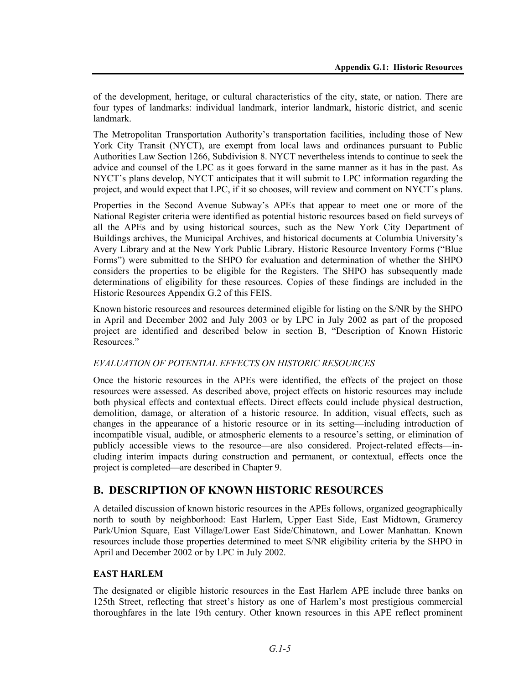of the development, heritage, or cultural characteristics of the city, state, or nation. There are four types of landmarks: individual landmark, interior landmark, historic district, and scenic landmark.

The Metropolitan Transportation Authority's transportation facilities, including those of New York City Transit (NYCT), are exempt from local laws and ordinances pursuant to Public Authorities Law Section 1266, Subdivision 8. NYCT nevertheless intends to continue to seek the advice and counsel of the LPC as it goes forward in the same manner as it has in the past. As NYCT's plans develop, NYCT anticipates that it will submit to LPC information regarding the project, and would expect that LPC, if it so chooses, will review and comment on NYCT's plans.

Properties in the Second Avenue Subway's APEs that appear to meet one or more of the National Register criteria were identified as potential historic resources based on field surveys of all the APEs and by using historical sources, such as the New York City Department of Buildings archives, the Municipal Archives, and historical documents at Columbia University's Avery Library and at the New York Public Library. Historic Resource Inventory Forms ("Blue Forms") were submitted to the SHPO for evaluation and determination of whether the SHPO considers the properties to be eligible for the Registers. The SHPO has subsequently made determinations of eligibility for these resources. Copies of these findings are included in the Historic Resources Appendix G.2 of this FEIS.

Known historic resources and resources determined eligible for listing on the S/NR by the SHPO in April and December 2002 and July 2003 or by LPC in July 2002 as part of the proposed project are identified and described below in section B, "Description of Known Historic Resources."

#### *EVALUATION OF POTENTIAL EFFECTS ON HISTORIC RESOURCES*

Once the historic resources in the APEs were identified, the effects of the project on those resources were assessed. As described above, project effects on historic resources may include both physical effects and contextual effects. Direct effects could include physical destruction, demolition, damage, or alteration of a historic resource. In addition, visual effects, such as changes in the appearance of a historic resource or in its setting—including introduction of incompatible visual, audible, or atmospheric elements to a resource's setting, or elimination of publicly accessible views to the resource—are also considered. Project-related effects—including interim impacts during construction and permanent, or contextual, effects once the project is completed—are described in Chapter 9.

## **B. DESCRIPTION OF KNOWN HISTORIC RESOURCES**

A detailed discussion of known historic resources in the APEs follows, organized geographically north to south by neighborhood: East Harlem, Upper East Side, East Midtown, Gramercy Park/Union Square, East Village/Lower East Side/Chinatown, and Lower Manhattan. Known resources include those properties determined to meet S/NR eligibility criteria by the SHPO in April and December 2002 or by LPC in July 2002.

#### **EAST HARLEM**

The designated or eligible historic resources in the East Harlem APE include three banks on 125th Street, reflecting that street's history as one of Harlem's most prestigious commercial thoroughfares in the late 19th century. Other known resources in this APE reflect prominent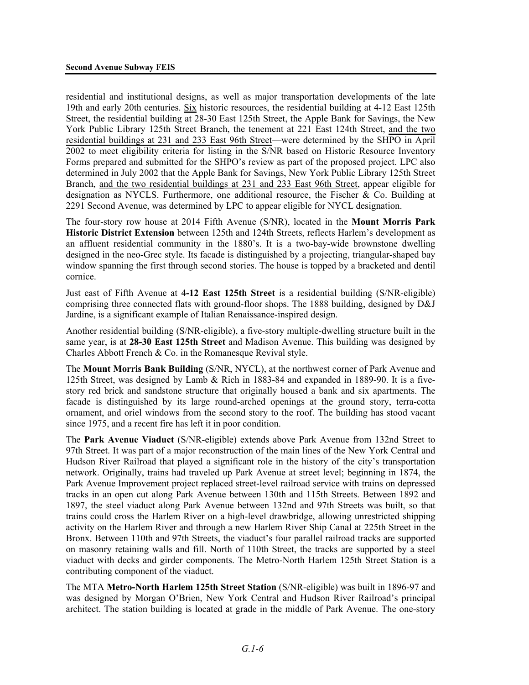residential and institutional designs, as well as major transportation developments of the late 19th and early 20th centuries. Six historic resources, the residential building at 4-12 East 125th Street, the residential building at 28-30 East 125th Street, the Apple Bank for Savings, the New York Public Library 125th Street Branch, the tenement at 221 East 124th Street, and the two residential buildings at 231 and 233 East 96th Street—were determined by the SHPO in April 2002 to meet eligibility criteria for listing in the S/NR based on Historic Resource Inventory Forms prepared and submitted for the SHPO's review as part of the proposed project. LPC also determined in July 2002 that the Apple Bank for Savings, New York Public Library 125th Street Branch, and the two residential buildings at 231 and 233 East 96th Street, appear eligible for designation as NYCLS. Furthermore, one additional resource, the Fischer & Co. Building at 2291 Second Avenue, was determined by LPC to appear eligible for NYCL designation.

The four-story row house at 2014 Fifth Avenue (S/NR), located in the **Mount Morris Park Historic District Extension** between 125th and 124th Streets, reflects Harlem's development as an affluent residential community in the 1880's. It is a two-bay-wide brownstone dwelling designed in the neo-Grec style. Its facade is distinguished by a projecting, triangular-shaped bay window spanning the first through second stories. The house is topped by a bracketed and dentil cornice.

Just east of Fifth Avenue at **4-12 East 125th Street** is a residential building (S/NR-eligible) comprising three connected flats with ground-floor shops. The 1888 building, designed by D&J Jardine, is a significant example of Italian Renaissance-inspired design.

Another residential building (S/NR-eligible), a five-story multiple-dwelling structure built in the same year, is at **28-30 East 125th Street** and Madison Avenue. This building was designed by Charles Abbott French & Co. in the Romanesque Revival style.

The **Mount Morris Bank Building** (S/NR, NYCL), at the northwest corner of Park Avenue and 125th Street, was designed by Lamb & Rich in 1883-84 and expanded in 1889-90. It is a fivestory red brick and sandstone structure that originally housed a bank and six apartments. The facade is distinguished by its large round-arched openings at the ground story, terra-cotta ornament, and oriel windows from the second story to the roof. The building has stood vacant since 1975, and a recent fire has left it in poor condition.

The **Park Avenue Viaduct** (S/NR-eligible) extends above Park Avenue from 132nd Street to 97th Street. It was part of a major reconstruction of the main lines of the New York Central and Hudson River Railroad that played a significant role in the history of the city's transportation network. Originally, trains had traveled up Park Avenue at street level; beginning in 1874, the Park Avenue Improvement project replaced street-level railroad service with trains on depressed tracks in an open cut along Park Avenue between 130th and 115th Streets. Between 1892 and 1897, the steel viaduct along Park Avenue between 132nd and 97th Streets was built, so that trains could cross the Harlem River on a high-level drawbridge, allowing unrestricted shipping activity on the Harlem River and through a new Harlem River Ship Canal at 225th Street in the Bronx. Between 110th and 97th Streets, the viaduct's four parallel railroad tracks are supported on masonry retaining walls and fill. North of 110th Street, the tracks are supported by a steel viaduct with decks and girder components. The Metro-North Harlem 125th Street Station is a contributing component of the viaduct.

The MTA **Metro-North Harlem 125th Street Station** (S/NR-eligible) was built in 1896-97 and was designed by Morgan O'Brien, New York Central and Hudson River Railroad's principal architect. The station building is located at grade in the middle of Park Avenue. The one-story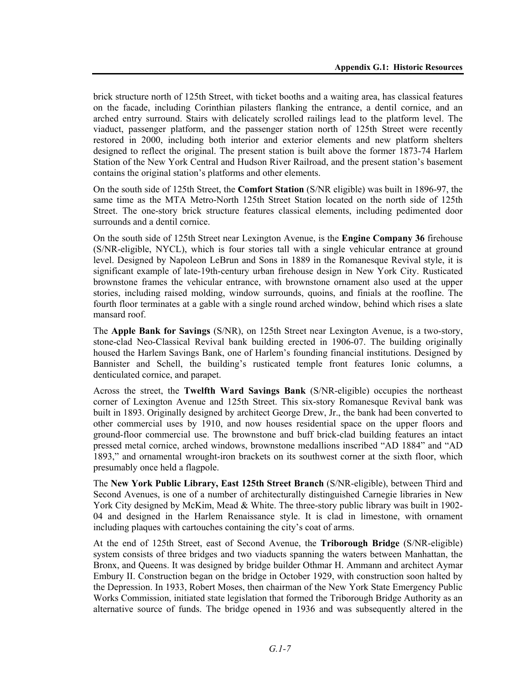brick structure north of 125th Street, with ticket booths and a waiting area, has classical features on the facade, including Corinthian pilasters flanking the entrance, a dentil cornice, and an arched entry surround. Stairs with delicately scrolled railings lead to the platform level. The viaduct, passenger platform, and the passenger station north of 125th Street were recently restored in 2000, including both interior and exterior elements and new platform shelters designed to reflect the original. The present station is built above the former 1873-74 Harlem Station of the New York Central and Hudson River Railroad, and the present station's basement contains the original station's platforms and other elements.

On the south side of 125th Street, the **Comfort Station** (S/NR eligible) was built in 1896-97, the same time as the MTA Metro-North 125th Street Station located on the north side of 125th Street. The one-story brick structure features classical elements, including pedimented door surrounds and a dentil cornice.

On the south side of 125th Street near Lexington Avenue, is the **Engine Company 36** firehouse (S/NR-eligible, NYCL), which is four stories tall with a single vehicular entrance at ground level. Designed by Napoleon LeBrun and Sons in 1889 in the Romanesque Revival style, it is significant example of late-19th-century urban firehouse design in New York City. Rusticated brownstone frames the vehicular entrance, with brownstone ornament also used at the upper stories, including raised molding, window surrounds, quoins, and finials at the roofline. The fourth floor terminates at a gable with a single round arched window, behind which rises a slate mansard roof.

The **Apple Bank for Savings** (S/NR), on 125th Street near Lexington Avenue, is a two-story, stone-clad Neo-Classical Revival bank building erected in 1906-07. The building originally housed the Harlem Savings Bank, one of Harlem's founding financial institutions. Designed by Bannister and Schell, the building's rusticated temple front features Ionic columns, a denticulated cornice, and parapet.

Across the street, the **Twelfth Ward Savings Bank** (S/NR-eligible) occupies the northeast corner of Lexington Avenue and 125th Street. This six-story Romanesque Revival bank was built in 1893. Originally designed by architect George Drew, Jr., the bank had been converted to other commercial uses by 1910, and now houses residential space on the upper floors and ground-floor commercial use. The brownstone and buff brick-clad building features an intact pressed metal cornice, arched windows, brownstone medallions inscribed "AD 1884" and "AD 1893," and ornamental wrought-iron brackets on its southwest corner at the sixth floor, which presumably once held a flagpole.

The **New York Public Library, East 125th Street Branch** (S/NR-eligible), between Third and Second Avenues, is one of a number of architecturally distinguished Carnegie libraries in New York City designed by McKim, Mead & White. The three-story public library was built in 1902-04 and designed in the Harlem Renaissance style. It is clad in limestone, with ornament including plaques with cartouches containing the city's coat of arms.

At the end of 125th Street, east of Second Avenue, the **Triborough Bridge** (S/NR-eligible) system consists of three bridges and two viaducts spanning the waters between Manhattan, the Bronx, and Queens. It was designed by bridge builder Othmar H. Ammann and architect Aymar Embury II. Construction began on the bridge in October 1929, with construction soon halted by the Depression. In 1933, Robert Moses, then chairman of the New York State Emergency Public Works Commission, initiated state legislation that formed the Triborough Bridge Authority as an alternative source of funds. The bridge opened in 1936 and was subsequently altered in the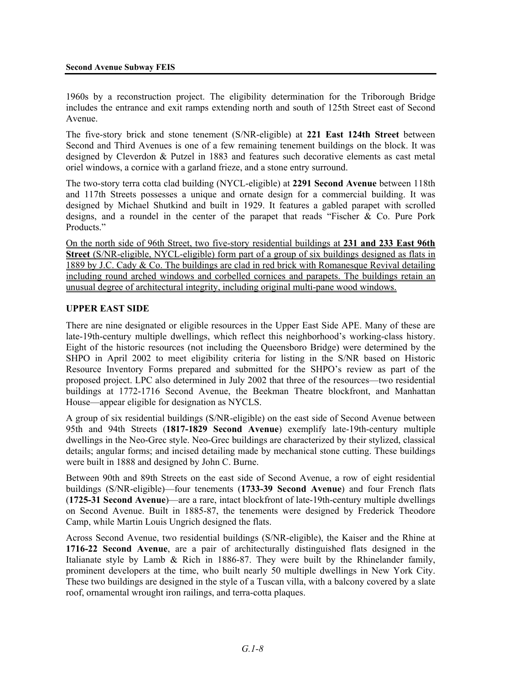1960s by a reconstruction project. The eligibility determination for the Triborough Bridge includes the entrance and exit ramps extending north and south of 125th Street east of Second Avenue.

The five-story brick and stone tenement (S/NR-eligible) at **221 East 124th Street** between Second and Third Avenues is one of a few remaining tenement buildings on the block. It was designed by Cleverdon & Putzel in 1883 and features such decorative elements as cast metal oriel windows, a cornice with a garland frieze, and a stone entry surround.

The two-story terra cotta clad building (NYCL-eligible) at **2291 Second Avenue** between 118th and 117th Streets possesses a unique and ornate design for a commercial building. It was designed by Michael Shutkind and built in 1929. It features a gabled parapet with scrolled designs, and a roundel in the center of the parapet that reads "Fischer & Co. Pure Pork Products."

On the north side of 96th Street, two five-story residential buildings at **231 and 233 East 96th Street** (S/NR-eligible, NYCL-eligible) form part of a group of six buildings designed as flats in 1889 by J.C. Cady & Co. The buildings are clad in red brick with Romanesque Revival detailing including round arched windows and corbelled cornices and parapets. The buildings retain an unusual degree of architectural integrity, including original multi-pane wood windows.

#### **UPPER EAST SIDE**

There are nine designated or eligible resources in the Upper East Side APE. Many of these are late-19th-century multiple dwellings, which reflect this neighborhood's working-class history. Eight of the historic resources (not including the Queensboro Bridge) were determined by the SHPO in April 2002 to meet eligibility criteria for listing in the S/NR based on Historic Resource Inventory Forms prepared and submitted for the SHPO's review as part of the proposed project. LPC also determined in July 2002 that three of the resources—two residential buildings at 1772-1716 Second Avenue, the Beekman Theatre blockfront, and Manhattan House—appear eligible for designation as NYCLS.

A group of six residential buildings (S/NR-eligible) on the east side of Second Avenue between 95th and 94th Streets (**1817-1829 Second Avenue**) exemplify late-19th-century multiple dwellings in the Neo-Grec style. Neo-Grec buildings are characterized by their stylized, classical details; angular forms; and incised detailing made by mechanical stone cutting. These buildings were built in 1888 and designed by John C. Burne.

Between 90th and 89th Streets on the east side of Second Avenue, a row of eight residential buildings (S/NR-eligible)—four tenements (**1733-39 Second Avenue**) and four French flats (**1725-31 Second Avenue**)—are a rare, intact blockfront of late-19th-century multiple dwellings on Second Avenue. Built in 1885-87, the tenements were designed by Frederick Theodore Camp, while Martin Louis Ungrich designed the flats.

Across Second Avenue, two residential buildings (S/NR-eligible), the Kaiser and the Rhine at **1716-22 Second Avenue**, are a pair of architecturally distinguished flats designed in the Italianate style by Lamb & Rich in 1886-87. They were built by the Rhinelander family, prominent developers at the time, who built nearly 50 multiple dwellings in New York City. These two buildings are designed in the style of a Tuscan villa, with a balcony covered by a slate roof, ornamental wrought iron railings, and terra-cotta plaques.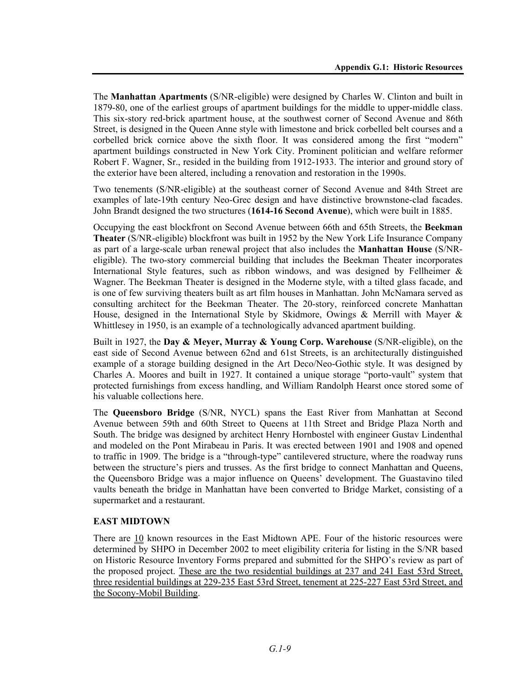The **Manhattan Apartments** (S/NR-eligible) were designed by Charles W. Clinton and built in 1879-80, one of the earliest groups of apartment buildings for the middle to upper-middle class. This six-story red-brick apartment house, at the southwest corner of Second Avenue and 86th Street, is designed in the Queen Anne style with limestone and brick corbelled belt courses and a corbelled brick cornice above the sixth floor. It was considered among the first "modern" apartment buildings constructed in New York City. Prominent politician and welfare reformer Robert F. Wagner, Sr., resided in the building from 1912-1933. The interior and ground story of the exterior have been altered, including a renovation and restoration in the 1990s.

Two tenements (S/NR-eligible) at the southeast corner of Second Avenue and 84th Street are examples of late-19th century Neo-Grec design and have distinctive brownstone-clad facades. John Brandt designed the two structures (**1614-16 Second Avenue**), which were built in 1885.

Occupying the east blockfront on Second Avenue between 66th and 65th Streets, the **Beekman Theater** (S/NR-eligible) blockfront was built in 1952 by the New York Life Insurance Company as part of a large-scale urban renewal project that also includes the **Manhattan House** (S/NReligible). The two-story commercial building that includes the Beekman Theater incorporates International Style features, such as ribbon windows, and was designed by Fellheimer  $\&$ Wagner. The Beekman Theater is designed in the Moderne style, with a tilted glass facade, and is one of few surviving theaters built as art film houses in Manhattan. John McNamara served as consulting architect for the Beekman Theater. The 20-story, reinforced concrete Manhattan House, designed in the International Style by Skidmore, Owings & Merrill with Mayer & Whittlesey in 1950, is an example of a technologically advanced apartment building.

Built in 1927, the **Day & Meyer, Murray & Young Corp. Warehouse** (S/NR-eligible), on the east side of Second Avenue between 62nd and 61st Streets, is an architecturally distinguished example of a storage building designed in the Art Deco/Neo-Gothic style. It was designed by Charles A. Moores and built in 1927. It contained a unique storage "porto-vault" system that protected furnishings from excess handling, and William Randolph Hearst once stored some of his valuable collections here.

The **Queensboro Bridge** (S/NR, NYCL) spans the East River from Manhattan at Second Avenue between 59th and 60th Street to Queens at 11th Street and Bridge Plaza North and South. The bridge was designed by architect Henry Hornbostel with engineer Gustav Lindenthal and modeled on the Pont Mirabeau in Paris. It was erected between 1901 and 1908 and opened to traffic in 1909. The bridge is a "through-type" cantilevered structure, where the roadway runs between the structure's piers and trusses. As the first bridge to connect Manhattan and Queens, the Queensboro Bridge was a major influence on Queens' development. The Guastavino tiled vaults beneath the bridge in Manhattan have been converted to Bridge Market, consisting of a supermarket and a restaurant.

#### **EAST MIDTOWN**

There are 10 known resources in the East Midtown APE. Four of the historic resources were determined by SHPO in December 2002 to meet eligibility criteria for listing in the S/NR based on Historic Resource Inventory Forms prepared and submitted for the SHPO's review as part of the proposed project. These are the two residential buildings at 237 and 241 East 53rd Street, three residential buildings at 229-235 East 53rd Street, tenement at 225-227 East 53rd Street, and the Socony-Mobil Building.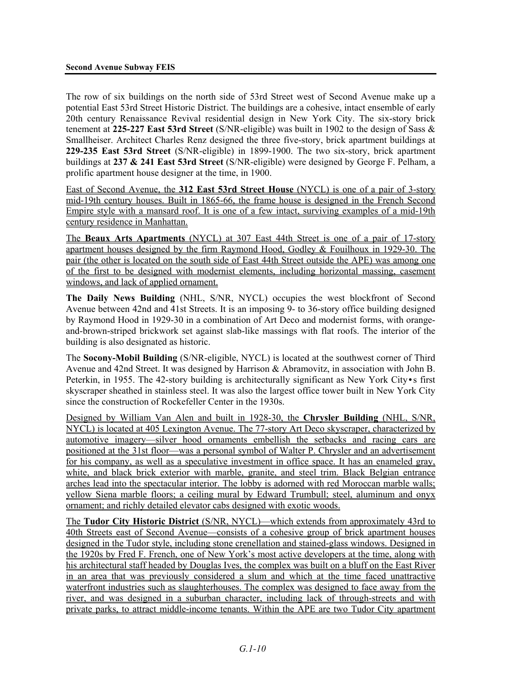The row of six buildings on the north side of 53rd Street west of Second Avenue make up a potential East 53rd Street Historic District. The buildings are a cohesive, intact ensemble of early 20th century Renaissance Revival residential design in New York City. The six-story brick tenement at **225-227 East 53rd Street** (S/NR-eligible) was built in 1902 to the design of Sass & Smallheiser. Architect Charles Renz designed the three five-story, brick apartment buildings at **229-235 East 53rd Street** (S/NR-eligible) in 1899-1900. The two six-story, brick apartment buildings at **237 & 241 East 53rd Street** (S/NR-eligible) were designed by George F. Pelham, a prolific apartment house designer at the time, in 1900.

East of Second Avenue, the **312 East 53rd Street House** (NYCL) is one of a pair of 3-story mid-19th century houses. Built in 1865-66, the frame house is designed in the French Second Empire style with a mansard roof. It is one of a few intact, surviving examples of a mid-19th century residence in Manhattan.

The **Beaux Arts Apartments** (NYCL) at 307 East 44th Street is one of a pair of 17-story apartment houses designed by the firm Raymond Hood, Godley & Fouilhoux in 1929-30. The pair (the other is located on the south side of East 44th Street outside the APE) was among one of the first to be designed with modernist elements, including horizontal massing, casement windows, and lack of applied ornament.

**The Daily News Building** (NHL, S/NR, NYCL) occupies the west blockfront of Second Avenue between 42nd and 41st Streets. It is an imposing 9- to 36-story office building designed by Raymond Hood in 1929-30 in a combination of Art Deco and modernist forms, with orangeand-brown-striped brickwork set against slab-like massings with flat roofs. The interior of the building is also designated as historic.

The **Socony-Mobil Building** (S/NR-eligible, NYCL) is located at the southwest corner of Third Avenue and 42nd Street. It was designed by Harrison & Abramovitz, in association with John B. Peterkin, in 1955. The 42-story building is architecturally significant as New York City•s first skyscraper sheathed in stainless steel. It was also the largest office tower built in New York City since the construction of Rockefeller Center in the 1930s.

Designed by William Van Alen and built in 1928-30, the **Chrysler Building** (NHL, S/NR, NYCL) is located at 405 Lexington Avenue. The 77-story Art Deco skyscraper, characterized by automotive imagery—silver hood ornaments embellish the setbacks and racing cars are positioned at the 31st floor—was a personal symbol of Walter P. Chrysler and an advertisement for his company, as well as a speculative investment in office space. It has an enameled gray, white, and black brick exterior with marble, granite, and steel trim. Black Belgian entrance arches lead into the spectacular interior. The lobby is adorned with red Moroccan marble walls; yellow Siena marble floors; a ceiling mural by Edward Trumbull; steel, aluminum and onyx ornament; and richly detailed elevator cabs designed with exotic woods.

The **Tudor City Historic District** (S/NR, NYCL)—which extends from approximately 43rd to 40th Streets east of Second Avenue—consists of a cohesive group of brick apartment houses designed in the Tudor style, including stone crenellation and stained-glass windows. Designed in the 1920s by Fred F. French, one of New York's most active developers at the time, along with his architectural staff headed by Douglas Ives, the complex was built on a bluff on the East River in an area that was previously considered a slum and which at the time faced unattractive waterfront industries such as slaughterhouses. The complex was designed to face away from the river, and was designed in a suburban character, including lack of through-streets and with private parks, to attract middle-income tenants. Within the APE are two Tudor City apartment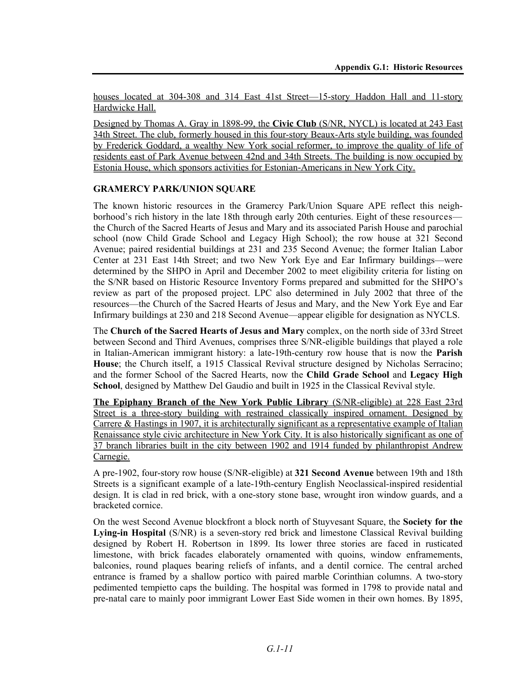houses located at 304-308 and 314 East 41st Street—15-story Haddon Hall and 11-story Hardwicke Hall.

Designed by Thomas A. Gray in 1898-99, the **Civic Club** (S/NR, NYCL) is located at 243 East 34th Street. The club, formerly housed in this four-story Beaux-Arts style building, was founded by Frederick Goddard, a wealthy New York social reformer, to improve the quality of life of residents east of Park Avenue between 42nd and 34th Streets. The building is now occupied by Estonia House, which sponsors activities for Estonian-Americans in New York City.

#### **GRAMERCY PARK/UNION SQUARE**

The known historic resources in the Gramercy Park/Union Square APE reflect this neighborhood's rich history in the late 18th through early 20th centuries. Eight of these resources the Church of the Sacred Hearts of Jesus and Mary and its associated Parish House and parochial school (now Child Grade School and Legacy High School); the row house at 321 Second Avenue; paired residential buildings at 231 and 235 Second Avenue; the former Italian Labor Center at 231 East 14th Street; and two New York Eye and Ear Infirmary buildings—were determined by the SHPO in April and December 2002 to meet eligibility criteria for listing on the S/NR based on Historic Resource Inventory Forms prepared and submitted for the SHPO's review as part of the proposed project. LPC also determined in July 2002 that three of the resources—the Church of the Sacred Hearts of Jesus and Mary, and the New York Eye and Ear Infirmary buildings at 230 and 218 Second Avenue—appear eligible for designation as NYCLS.

The **Church of the Sacred Hearts of Jesus and Mary** complex, on the north side of 33rd Street between Second and Third Avenues, comprises three S/NR-eligible buildings that played a role in Italian-American immigrant history: a late-19th-century row house that is now the **Parish House**; the Church itself, a 1915 Classical Revival structure designed by Nicholas Serracino; and the former School of the Sacred Hearts, now the **Child Grade School** and **Legacy High School**, designed by Matthew Del Gaudio and built in 1925 in the Classical Revival style.

**The Epiphany Branch of the New York Public Library** (S/NR-eligible) at 228 East 23rd Street is a three-story building with restrained classically inspired ornament. Designed by Carrere & Hastings in 1907, it is architecturally significant as a representative example of Italian Renaissance style civic architecture in New York City. It is also historically significant as one of 37 branch libraries built in the city between 1902 and 1914 funded by philanthropist Andrew Carnegie.

A pre-1902, four-story row house (S/NR-eligible) at **321 Second Avenue** between 19th and 18th Streets is a significant example of a late-19th-century English Neoclassical-inspired residential design. It is clad in red brick, with a one-story stone base, wrought iron window guards, and a bracketed cornice.

On the west Second Avenue blockfront a block north of Stuyvesant Square, the **Society for the Lying-in Hospital** (S/NR) is a seven-story red brick and limestone Classical Revival building designed by Robert H. Robertson in 1899. Its lower three stories are faced in rusticated limestone, with brick facades elaborately ornamented with quoins, window enframements, balconies, round plaques bearing reliefs of infants, and a dentil cornice. The central arched entrance is framed by a shallow portico with paired marble Corinthian columns. A two-story pedimented tempietto caps the building. The hospital was formed in 1798 to provide natal and pre-natal care to mainly poor immigrant Lower East Side women in their own homes. By 1895,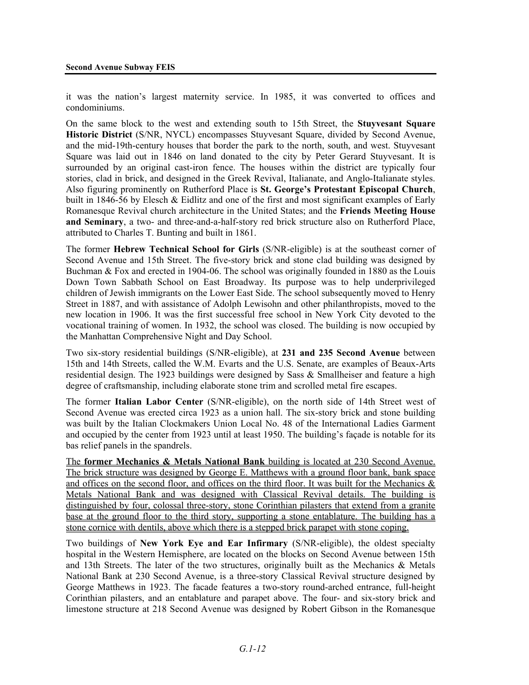it was the nation's largest maternity service. In 1985, it was converted to offices and condominiums.

On the same block to the west and extending south to 15th Street, the **Stuyvesant Square Historic District** (S/NR, NYCL) encompasses Stuyvesant Square, divided by Second Avenue, and the mid-19th-century houses that border the park to the north, south, and west. Stuyvesant Square was laid out in 1846 on land donated to the city by Peter Gerard Stuyvesant. It is surrounded by an original cast-iron fence. The houses within the district are typically four stories, clad in brick, and designed in the Greek Revival, Italianate, and Anglo-Italianate styles. Also figuring prominently on Rutherford Place is **St. George's Protestant Episcopal Church**, built in 1846-56 by Elesch & Eidlitz and one of the first and most significant examples of Early Romanesque Revival church architecture in the United States; and the **Friends Meeting House and Seminary**, a two- and three-and-a-half-story red brick structure also on Rutherford Place, attributed to Charles T. Bunting and built in 1861.

The former **Hebrew Technical School for Girls** (S/NR-eligible) is at the southeast corner of Second Avenue and 15th Street. The five-story brick and stone clad building was designed by Buchman & Fox and erected in 1904-06. The school was originally founded in 1880 as the Louis Down Town Sabbath School on East Broadway. Its purpose was to help underprivileged children of Jewish immigrants on the Lower East Side. The school subsequently moved to Henry Street in 1887, and with assistance of Adolph Lewisohn and other philanthropists, moved to the new location in 1906. It was the first successful free school in New York City devoted to the vocational training of women. In 1932, the school was closed. The building is now occupied by the Manhattan Comprehensive Night and Day School.

Two six-story residential buildings (S/NR-eligible), at **231 and 235 Second Avenue** between 15th and 14th Streets, called the W.M. Evarts and the U.S. Senate, are examples of Beaux-Arts residential design. The 1923 buildings were designed by Sass & Smallheiser and feature a high degree of craftsmanship, including elaborate stone trim and scrolled metal fire escapes.

The former **Italian Labor Center** (S/NR-eligible), on the north side of 14th Street west of Second Avenue was erected circa 1923 as a union hall. The six-story brick and stone building was built by the Italian Clockmakers Union Local No. 48 of the International Ladies Garment and occupied by the center from 1923 until at least 1950. The building's façade is notable for its bas relief panels in the spandrels.

The **former Mechanics & Metals National Bank** building is located at 230 Second Avenue. The brick structure was designed by George E. Matthews with a ground floor bank, bank space and offices on the second floor, and offices on the third floor. It was built for the Mechanics & Metals National Bank and was designed with Classical Revival details. The building is distinguished by four, colossal three-story, stone Corinthian pilasters that extend from a granite base at the ground floor to the third story, supporting a stone entablature. The building has a stone cornice with dentils, above which there is a stepped brick parapet with stone coping.

Two buildings of **New York Eye and Ear Infirmary** (S/NR-eligible), the oldest specialty hospital in the Western Hemisphere, are located on the blocks on Second Avenue between 15th and 13th Streets. The later of the two structures, originally built as the Mechanics & Metals National Bank at 230 Second Avenue, is a three-story Classical Revival structure designed by George Matthews in 1923. The facade features a two-story round-arched entrance, full-height Corinthian pilasters, and an entablature and parapet above. The four- and six-story brick and limestone structure at 218 Second Avenue was designed by Robert Gibson in the Romanesque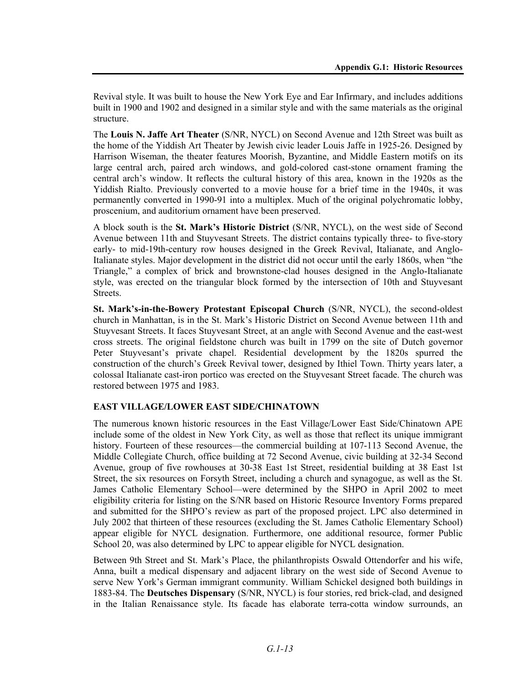Revival style. It was built to house the New York Eye and Ear Infirmary, and includes additions built in 1900 and 1902 and designed in a similar style and with the same materials as the original structure.

The **Louis N. Jaffe Art Theater** (S/NR, NYCL) on Second Avenue and 12th Street was built as the home of the Yiddish Art Theater by Jewish civic leader Louis Jaffe in 1925-26. Designed by Harrison Wiseman, the theater features Moorish, Byzantine, and Middle Eastern motifs on its large central arch, paired arch windows, and gold-colored cast-stone ornament framing the central arch's window. It reflects the cultural history of this area, known in the 1920s as the Yiddish Rialto. Previously converted to a movie house for a brief time in the 1940s, it was permanently converted in 1990-91 into a multiplex. Much of the original polychromatic lobby, proscenium, and auditorium ornament have been preserved.

A block south is the **St. Mark's Historic District** (S/NR, NYCL), on the west side of Second Avenue between 11th and Stuyvesant Streets. The district contains typically three- to five-story early- to mid-19th-century row houses designed in the Greek Revival, Italianate, and Anglo-Italianate styles. Major development in the district did not occur until the early 1860s, when "the Triangle," a complex of brick and brownstone-clad houses designed in the Anglo-Italianate style, was erected on the triangular block formed by the intersection of 10th and Stuyvesant **Streets** 

**St. Mark's-in-the-Bowery Protestant Episcopal Church** (S/NR, NYCL), the second-oldest church in Manhattan, is in the St. Mark's Historic District on Second Avenue between 11th and Stuyvesant Streets. It faces Stuyvesant Street, at an angle with Second Avenue and the east-west cross streets. The original fieldstone church was built in 1799 on the site of Dutch governor Peter Stuyvesant's private chapel. Residential development by the 1820s spurred the construction of the church's Greek Revival tower, designed by Ithiel Town. Thirty years later, a colossal Italianate cast-iron portico was erected on the Stuyvesant Street facade. The church was restored between 1975 and 1983.

#### **EAST VILLAGE/LOWER EAST SIDE/CHINATOWN**

The numerous known historic resources in the East Village/Lower East Side/Chinatown APE include some of the oldest in New York City, as well as those that reflect its unique immigrant history. Fourteen of these resources—the commercial building at 107-113 Second Avenue, the Middle Collegiate Church, office building at 72 Second Avenue, civic building at 32-34 Second Avenue, group of five rowhouses at 30-38 East 1st Street, residential building at 38 East 1st Street, the six resources on Forsyth Street, including a church and synagogue, as well as the St. James Catholic Elementary School—were determined by the SHPO in April 2002 to meet eligibility criteria for listing on the S/NR based on Historic Resource Inventory Forms prepared and submitted for the SHPO's review as part of the proposed project. LPC also determined in July 2002 that thirteen of these resources (excluding the St. James Catholic Elementary School) appear eligible for NYCL designation. Furthermore, one additional resource, former Public School 20, was also determined by LPC to appear eligible for NYCL designation.

Between 9th Street and St. Mark's Place, the philanthropists Oswald Ottendorfer and his wife, Anna, built a medical dispensary and adjacent library on the west side of Second Avenue to serve New York's German immigrant community. William Schickel designed both buildings in 1883-84. The **Deutsches Dispensary** (S/NR, NYCL) is four stories, red brick-clad, and designed in the Italian Renaissance style. Its facade has elaborate terra-cotta window surrounds, an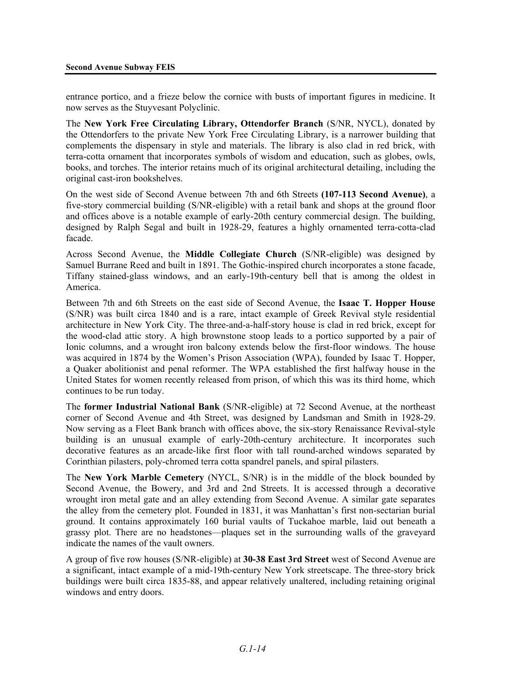entrance portico, and a frieze below the cornice with busts of important figures in medicine. It now serves as the Stuyvesant Polyclinic.

The **New York Free Circulating Library, Ottendorfer Branch** (S/NR, NYCL), donated by the Ottendorfers to the private New York Free Circulating Library, is a narrower building that complements the dispensary in style and materials. The library is also clad in red brick, with terra-cotta ornament that incorporates symbols of wisdom and education, such as globes, owls, books, and torches. The interior retains much of its original architectural detailing, including the original cast-iron bookshelves.

On the west side of Second Avenue between 7th and 6th Streets **(107-113 Second Avenue)**, a five-story commercial building (S/NR-eligible) with a retail bank and shops at the ground floor and offices above is a notable example of early-20th century commercial design. The building, designed by Ralph Segal and built in 1928-29, features a highly ornamented terra-cotta-clad facade.

Across Second Avenue, the **Middle Collegiate Church** (S/NR-eligible) was designed by Samuel Burrane Reed and built in 1891. The Gothic-inspired church incorporates a stone facade, Tiffany stained-glass windows, and an early-19th-century bell that is among the oldest in America.

Between 7th and 6th Streets on the east side of Second Avenue, the **Isaac T. Hopper House** (S/NR) was built circa 1840 and is a rare, intact example of Greek Revival style residential architecture in New York City. The three-and-a-half-story house is clad in red brick, except for the wood-clad attic story. A high brownstone stoop leads to a portico supported by a pair of Ionic columns, and a wrought iron balcony extends below the first-floor windows. The house was acquired in 1874 by the Women's Prison Association (WPA), founded by Isaac T. Hopper, a Quaker abolitionist and penal reformer. The WPA established the first halfway house in the United States for women recently released from prison, of which this was its third home, which continues to be run today.

The **former Industrial National Bank** (S/NR-eligible) at 72 Second Avenue, at the northeast corner of Second Avenue and 4th Street, was designed by Landsman and Smith in 1928-29. Now serving as a Fleet Bank branch with offices above, the six-story Renaissance Revival-style building is an unusual example of early-20th-century architecture. It incorporates such decorative features as an arcade-like first floor with tall round-arched windows separated by Corinthian pilasters, poly-chromed terra cotta spandrel panels, and spiral pilasters.

The **New York Marble Cemetery** (NYCL, S/NR) is in the middle of the block bounded by Second Avenue, the Bowery, and 3rd and 2nd Streets. It is accessed through a decorative wrought iron metal gate and an alley extending from Second Avenue. A similar gate separates the alley from the cemetery plot. Founded in 1831, it was Manhattan's first non-sectarian burial ground. It contains approximately 160 burial vaults of Tuckahoe marble, laid out beneath a grassy plot. There are no headstones—plaques set in the surrounding walls of the graveyard indicate the names of the vault owners.

A group of five row houses (S/NR-eligible) at **30-38 East 3rd Street** west of Second Avenue are a significant, intact example of a mid-19th-century New York streetscape. The three-story brick buildings were built circa 1835-88, and appear relatively unaltered, including retaining original windows and entry doors.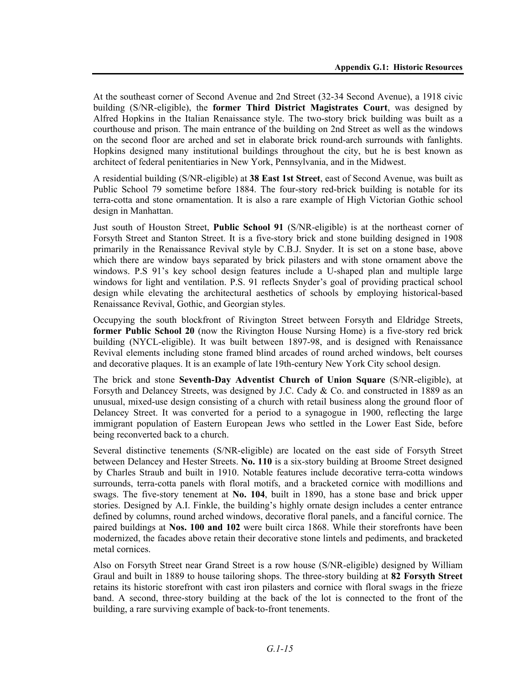At the southeast corner of Second Avenue and 2nd Street (32-34 Second Avenue), a 1918 civic building (S/NR-eligible), the **former Third District Magistrates Court**, was designed by Alfred Hopkins in the Italian Renaissance style. The two-story brick building was built as a courthouse and prison. The main entrance of the building on 2nd Street as well as the windows on the second floor are arched and set in elaborate brick round-arch surrounds with fanlights. Hopkins designed many institutional buildings throughout the city, but he is best known as architect of federal penitentiaries in New York, Pennsylvania, and in the Midwest.

A residential building (S/NR-eligible) at **38 East 1st Street**, east of Second Avenue, was built as Public School 79 sometime before 1884. The four-story red-brick building is notable for its terra-cotta and stone ornamentation. It is also a rare example of High Victorian Gothic school design in Manhattan.

Just south of Houston Street, **Public School 91** (S/NR-eligible) is at the northeast corner of Forsyth Street and Stanton Street. It is a five-story brick and stone building designed in 1908 primarily in the Renaissance Revival style by C.B.J. Snyder. It is set on a stone base, above which there are window bays separated by brick pilasters and with stone ornament above the windows. P.S 91's key school design features include a U-shaped plan and multiple large windows for light and ventilation. P.S. 91 reflects Snyder's goal of providing practical school design while elevating the architectural aesthetics of schools by employing historical-based Renaissance Revival, Gothic, and Georgian styles.

Occupying the south blockfront of Rivington Street between Forsyth and Eldridge Streets, **former Public School 20** (now the Rivington House Nursing Home) is a five-story red brick building (NYCL-eligible). It was built between 1897-98, and is designed with Renaissance Revival elements including stone framed blind arcades of round arched windows, belt courses and decorative plaques. It is an example of late 19th-century New York City school design.

The brick and stone **Seventh-Day Adventist Church of Union Square** (S/NR-eligible), at Forsyth and Delancey Streets, was designed by J.C. Cady & Co. and constructed in 1889 as an unusual, mixed-use design consisting of a church with retail business along the ground floor of Delancey Street. It was converted for a period to a synagogue in 1900, reflecting the large immigrant population of Eastern European Jews who settled in the Lower East Side, before being reconverted back to a church.

Several distinctive tenements (S/NR-eligible) are located on the east side of Forsyth Street between Delancey and Hester Streets. **No. 110** is a six-story building at Broome Street designed by Charles Straub and built in 1910. Notable features include decorative terra-cotta windows surrounds, terra-cotta panels with floral motifs, and a bracketed cornice with modillions and swags. The five-story tenement at **No. 104**, built in 1890, has a stone base and brick upper stories. Designed by A.I. Finkle, the building's highly ornate design includes a center entrance defined by columns, round arched windows, decorative floral panels, and a fanciful cornice. The paired buildings at **Nos. 100 and 102** were built circa 1868. While their storefronts have been modernized, the facades above retain their decorative stone lintels and pediments, and bracketed metal cornices.

Also on Forsyth Street near Grand Street is a row house (S/NR-eligible) designed by William Graul and built in 1889 to house tailoring shops. The three-story building at **82 Forsyth Street** retains its historic storefront with cast iron pilasters and cornice with floral swags in the frieze band. A second, three-story building at the back of the lot is connected to the front of the building, a rare surviving example of back-to-front tenements.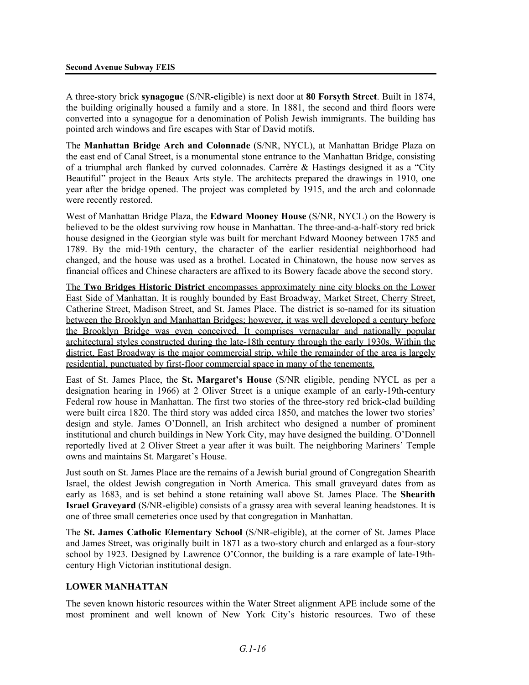A three-story brick **synagogue** (S/NR-eligible) is next door at **80 Forsyth Street**. Built in 1874, the building originally housed a family and a store. In 1881, the second and third floors were converted into a synagogue for a denomination of Polish Jewish immigrants. The building has pointed arch windows and fire escapes with Star of David motifs.

The **Manhattan Bridge Arch and Colonnade** (S/NR, NYCL), at Manhattan Bridge Plaza on the east end of Canal Street, is a monumental stone entrance to the Manhattan Bridge, consisting of a triumphal arch flanked by curved colonnades. Carrère & Hastings designed it as a "City Beautiful" project in the Beaux Arts style. The architects prepared the drawings in 1910, one year after the bridge opened. The project was completed by 1915, and the arch and colonnade were recently restored.

West of Manhattan Bridge Plaza, the **Edward Mooney House** (S/NR, NYCL) on the Bowery is believed to be the oldest surviving row house in Manhattan. The three-and-a-half-story red brick house designed in the Georgian style was built for merchant Edward Mooney between 1785 and 1789. By the mid-19th century, the character of the earlier residential neighborhood had changed, and the house was used as a brothel. Located in Chinatown, the house now serves as financial offices and Chinese characters are affixed to its Bowery facade above the second story.

The **Two Bridges Historic District** encompasses approximately nine city blocks on the Lower East Side of Manhattan. It is roughly bounded by East Broadway, Market Street, Cherry Street, Catherine Street, Madison Street, and St. James Place. The district is so-named for its situation between the Brooklyn and Manhattan Bridges; however, it was well developed a century before the Brooklyn Bridge was even conceived. It comprises vernacular and nationally popular architectural styles constructed during the late-18th century through the early 1930s. Within the district, East Broadway is the major commercial strip, while the remainder of the area is largely residential, punctuated by first-floor commercial space in many of the tenements.

East of St. James Place, the **St. Margaret's House** (S/NR eligible, pending NYCL as per a designation hearing in 1966) at 2 Oliver Street is a unique example of an early-19th-century Federal row house in Manhattan. The first two stories of the three-story red brick-clad building were built circa 1820. The third story was added circa 1850, and matches the lower two stories' design and style. James O'Donnell, an Irish architect who designed a number of prominent institutional and church buildings in New York City, may have designed the building. O'Donnell reportedly lived at 2 Oliver Street a year after it was built. The neighboring Mariners' Temple owns and maintains St. Margaret's House.

Just south on St. James Place are the remains of a Jewish burial ground of Congregation Shearith Israel, the oldest Jewish congregation in North America. This small graveyard dates from as early as 1683, and is set behind a stone retaining wall above St. James Place. The **Shearith Israel Graveyard** (S/NR-eligible) consists of a grassy area with several leaning headstones. It is one of three small cemeteries once used by that congregation in Manhattan.

The **St. James Catholic Elementary School** (S/NR-eligible), at the corner of St. James Place and James Street, was originally built in 1871 as a two-story church and enlarged as a four-story school by 1923. Designed by Lawrence O'Connor, the building is a rare example of late-19thcentury High Victorian institutional design.

#### **LOWER MANHATTAN**

The seven known historic resources within the Water Street alignment APE include some of the most prominent and well known of New York City's historic resources. Two of these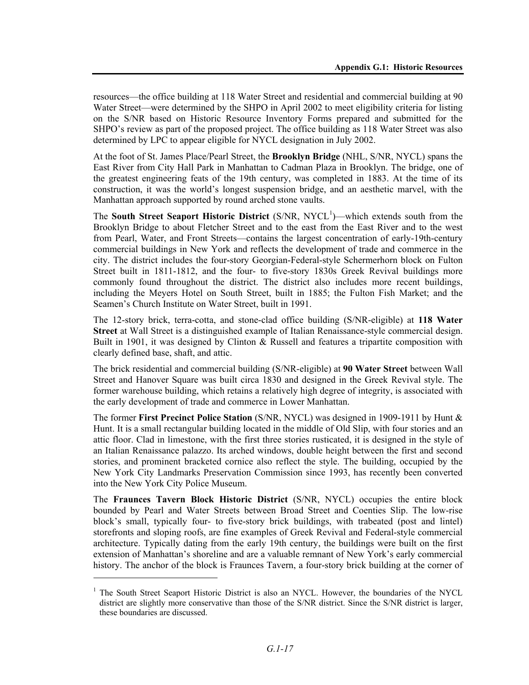resources—the office building at 118 Water Street and residential and commercial building at 90 Water Street—were determined by the SHPO in April 2002 to meet eligibility criteria for listing on the S/NR based on Historic Resource Inventory Forms prepared and submitted for the SHPO's review as part of the proposed project. The office building as 118 Water Street was also determined by LPC to appear eligible for NYCL designation in July 2002.

At the foot of St. James Place/Pearl Street, the **Brooklyn Bridge** (NHL, S/NR, NYCL) spans the East River from City Hall Park in Manhattan to Cadman Plaza in Brooklyn. The bridge, one of the greatest engineering feats of the 19th century, was completed in 1883. At the time of its construction, it was the world's longest suspension bridge, and an aesthetic marvel, with the Manhattan approach supported by round arched stone vaults.

The **South Street Seaport Historic District** (S/NR, NYCL<sup>1</sup>)—which extends south from the Brooklyn Bridge to about Fletcher Street and to the east from the East River and to the west from Pearl, Water, and Front Streets—contains the largest concentration of early-19th-century commercial buildings in New York and reflects the development of trade and commerce in the city. The district includes the four-story Georgian-Federal-style Schermerhorn block on Fulton Street built in 1811-1812, and the four- to five-story 1830s Greek Revival buildings more commonly found throughout the district. The district also includes more recent buildings, including the Meyers Hotel on South Street, built in 1885; the Fulton Fish Market; and the Seamen's Church Institute on Water Street, built in 1991.

The 12-story brick, terra-cotta, and stone-clad office building (S/NR-eligible) at **118 Water Street** at Wall Street is a distinguished example of Italian Renaissance-style commercial design. Built in 1901, it was designed by Clinton & Russell and features a tripartite composition with clearly defined base, shaft, and attic.

The brick residential and commercial building (S/NR-eligible) at **90 Water Street** between Wall Street and Hanover Square was built circa 1830 and designed in the Greek Revival style. The former warehouse building, which retains a relatively high degree of integrity, is associated with the early development of trade and commerce in Lower Manhattan.

The former **First Precinct Police Station** (S/NR, NYCL) was designed in 1909-1911 by Hunt & Hunt. It is a small rectangular building located in the middle of Old Slip, with four stories and an attic floor. Clad in limestone, with the first three stories rusticated, it is designed in the style of an Italian Renaissance palazzo. Its arched windows, double height between the first and second stories, and prominent bracketed cornice also reflect the style. The building, occupied by the New York City Landmarks Preservation Commission since 1993, has recently been converted into the New York City Police Museum.

The **Fraunces Tavern Block Historic District** (S/NR, NYCL) occupies the entire block bounded by Pearl and Water Streets between Broad Street and Coenties Slip. The low-rise block's small, typically four- to five-story brick buildings, with trabeated (post and lintel) storefronts and sloping roofs, are fine examples of Greek Revival and Federal-style commercial architecture. Typically dating from the early 19th century, the buildings were built on the first extension of Manhattan's shoreline and are a valuable remnant of New York's early commercial history. The anchor of the block is Fraunces Tavern, a four-story brick building at the corner of

l

<sup>&</sup>lt;sup>1</sup> The South Street Seaport Historic District is also an NYCL. However, the boundaries of the NYCL district are slightly more conservative than those of the S/NR district. Since the S/NR district is larger, these boundaries are discussed.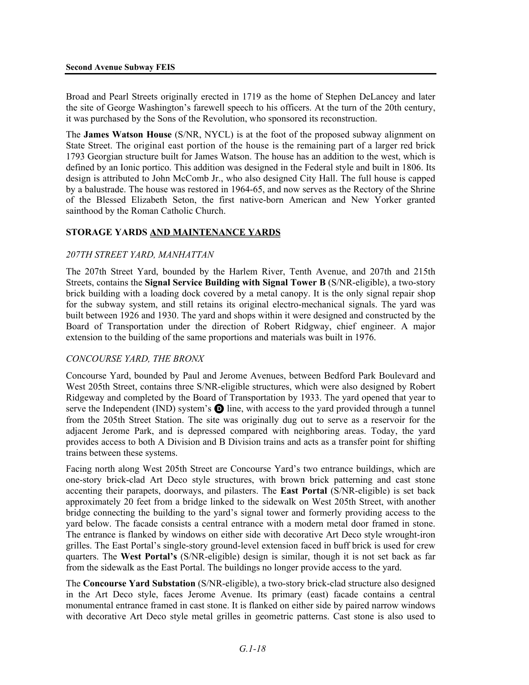Broad and Pearl Streets originally erected in 1719 as the home of Stephen DeLancey and later the site of George Washington's farewell speech to his officers. At the turn of the 20th century, it was purchased by the Sons of the Revolution, who sponsored its reconstruction.

The **James Watson House** (S/NR, NYCL) is at the foot of the proposed subway alignment on State Street. The original east portion of the house is the remaining part of a larger red brick 1793 Georgian structure built for James Watson. The house has an addition to the west, which is defined by an Ionic portico. This addition was designed in the Federal style and built in 1806. Its design is attributed to John McComb Jr., who also designed City Hall. The full house is capped by a balustrade. The house was restored in 1964-65, and now serves as the Rectory of the Shrine of the Blessed Elizabeth Seton, the first native-born American and New Yorker granted sainthood by the Roman Catholic Church.

#### **STORAGE YARDS AND MAINTENANCE YARDS**

#### *207TH STREET YARD, MANHATTAN*

The 207th Street Yard, bounded by the Harlem River, Tenth Avenue, and 207th and 215th Streets, contains the **Signal Service Building with Signal Tower B** (S/NR-eligible), a two-story brick building with a loading dock covered by a metal canopy. It is the only signal repair shop for the subway system, and still retains its original electro-mechanical signals. The yard was built between 1926 and 1930. The yard and shops within it were designed and constructed by the Board of Transportation under the direction of Robert Ridgway, chief engineer. A major extension to the building of the same proportions and materials was built in 1976.

#### *CONCOURSE YARD, THE BRONX*

Concourse Yard, bounded by Paul and Jerome Avenues, between Bedford Park Boulevard and West 205th Street, contains three S/NR-eligible structures, which were also designed by Robert Ridgeway and completed by the Board of Transportation by 1933. The yard opened that year to serve the Independent (IND) system's  $\bullet$  line, with access to the yard provided through a tunnel from the 205th Street Station. The site was originally dug out to serve as a reservoir for the adjacent Jerome Park, and is depressed compared with neighboring areas. Today, the yard provides access to both A Division and B Division trains and acts as a transfer point for shifting trains between these systems.

Facing north along West 205th Street are Concourse Yard's two entrance buildings, which are one-story brick-clad Art Deco style structures, with brown brick patterning and cast stone accenting their parapets, doorways, and pilasters. The **East Portal** (S/NR-eligible) is set back approximately 20 feet from a bridge linked to the sidewalk on West 205th Street, with another bridge connecting the building to the yard's signal tower and formerly providing access to the yard below. The facade consists a central entrance with a modern metal door framed in stone. The entrance is flanked by windows on either side with decorative Art Deco style wrought-iron grilles. The East Portal's single-story ground-level extension faced in buff brick is used for crew quarters. The **West Portal's** (S/NR-eligible) design is similar, though it is not set back as far from the sidewalk as the East Portal. The buildings no longer provide access to the yard.

The **Concourse Yard Substation** (S/NR-eligible), a two-story brick-clad structure also designed in the Art Deco style, faces Jerome Avenue. Its primary (east) facade contains a central monumental entrance framed in cast stone. It is flanked on either side by paired narrow windows with decorative Art Deco style metal grilles in geometric patterns. Cast stone is also used to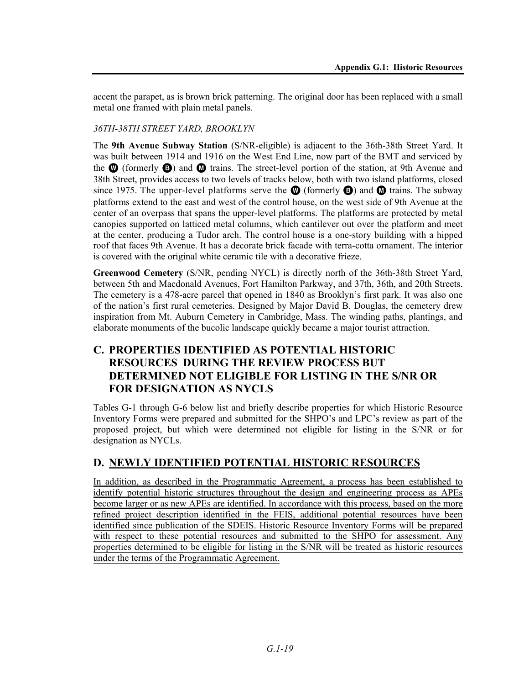accent the parapet, as is brown brick patterning. The original door has been replaced with a small metal one framed with plain metal panels.

### *36TH-38TH STREET YARD, BROOKLYN*

The **9th Avenue Subway Station** (S/NR-eligible) is adjacent to the 36th-38th Street Yard. It was built between 1914 and 1916 on the West End Line, now part of the BMT and serviced by the  $\bf{Q}$  (formerly  $\bf{Q}$ ) and  $\bf{Q}$  trains. The street-level portion of the station, at 9th Avenue and 38th Street, provides access to two levels of tracks below, both with two island platforms, closed since 1975. The upper-level platforms serve the  $\mathbf \odot$  (formerly  $\mathbf \odot$ ) and  $\mathbf \odot$  trains. The subway platforms extend to the east and west of the control house, on the west side of 9th Avenue at the center of an overpass that spans the upper-level platforms. The platforms are protected by metal canopies supported on latticed metal columns, which cantilever out over the platform and meet at the center, producing a Tudor arch. The control house is a one-story building with a hipped roof that faces 9th Avenue. It has a decorate brick facade with terra-cotta ornament. The interior is covered with the original white ceramic tile with a decorative frieze.

**Greenwood Cemetery** (S/NR, pending NYCL) is directly north of the 36th-38th Street Yard, between 5th and Macdonald Avenues, Fort Hamilton Parkway, and 37th, 36th, and 20th Streets. The cemetery is a 478-acre parcel that opened in 1840 as Brooklyn's first park. It was also one of the nation's first rural cemeteries. Designed by Major David B. Douglas, the cemetery drew inspiration from Mt. Auburn Cemetery in Cambridge, Mass. The winding paths, plantings, and elaborate monuments of the bucolic landscape quickly became a major tourist attraction.

# **C. PROPERTIES IDENTIFIED AS POTENTIAL HISTORIC RESOURCES DURING THE REVIEW PROCESS BUT DETERMINED NOT ELIGIBLE FOR LISTING IN THE S/NR OR FOR DESIGNATION AS NYCLS**

Tables G-1 through G-6 below list and briefly describe properties for which Historic Resource Inventory Forms were prepared and submitted for the SHPO's and LPC's review as part of the proposed project, but which were determined not eligible for listing in the S/NR or for designation as NYCLs.

## **D. NEWLY IDENTIFIED POTENTIAL HISTORIC RESOURCES**

In addition, as described in the Programmatic Agreement, a process has been established to identify potential historic structures throughout the design and engineering process as APEs become larger or as new APEs are identified. In accordance with this process, based on the more refined project description identified in the FEIS, additional potential resources have been identified since publication of the SDEIS. Historic Resource Inventory Forms will be prepared with respect to these potential resources and submitted to the SHPO for assessment. Any properties determined to be eligible for listing in the S/NR will be treated as historic resources under the terms of the Programmatic Agreement.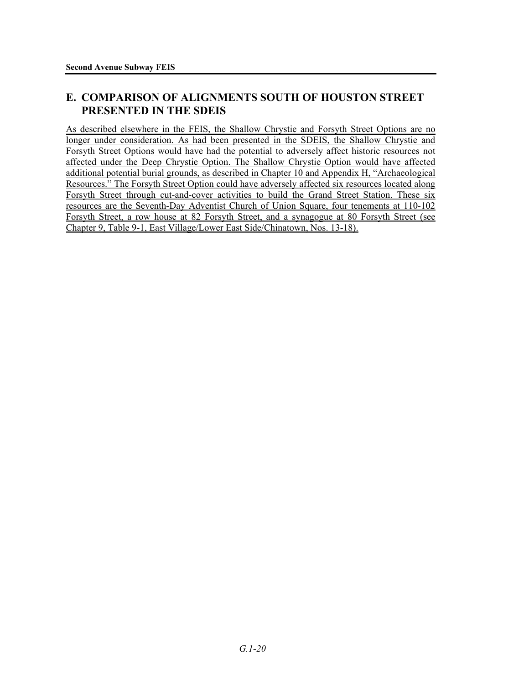# **E. COMPARISON OF ALIGNMENTS SOUTH OF HOUSTON STREET PRESENTED IN THE SDEIS**

As described elsewhere in the FEIS, the Shallow Chrystie and Forsyth Street Options are no longer under consideration. As had been presented in the SDEIS, the Shallow Chrystie and Forsyth Street Options would have had the potential to adversely affect historic resources not affected under the Deep Chrystie Option. The Shallow Chrystie Option would have affected additional potential burial grounds, as described in Chapter 10 and Appendix H, "Archaeological Resources." The Forsyth Street Option could have adversely affected six resources located along Forsyth Street through cut-and-cover activities to build the Grand Street Station. These six resources are the Seventh-Day Adventist Church of Union Square, four tenements at 110-102 Forsyth Street, a row house at 82 Forsyth Street, and a synagogue at 80 Forsyth Street (see Chapter 9, Table 9-1, East Village/Lower East Side/Chinatown, Nos. 13-18).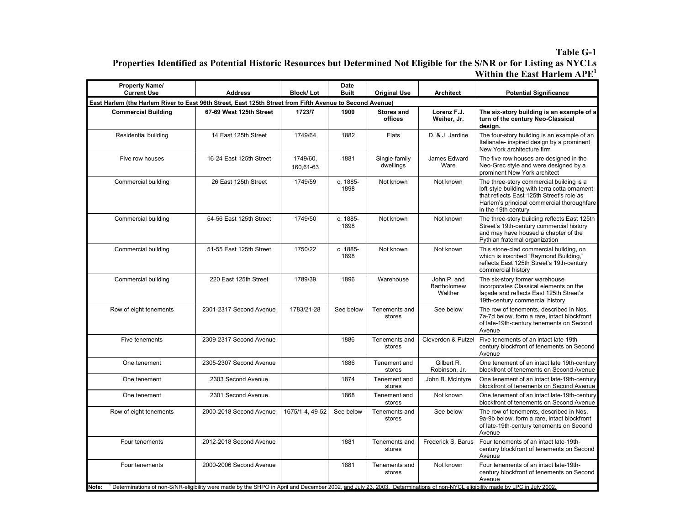#### **Table G-1 Properties Identified as Potential Historic Resources but Determined Not Eligible for the S/NR or for Listing as NYCLs Within the East Harlem APE<sup>1</sup>**

| <b>Property Name/</b><br><b>Current Use</b>                                                              | <b>Address</b>                                                                                                                                                               | <b>Block/Lot</b>      | Date<br><b>Built</b> | <b>Original Use</b>          | <b>Architect</b>                      | <b>Potential Significance</b>                                                                                                                                                                               |
|----------------------------------------------------------------------------------------------------------|------------------------------------------------------------------------------------------------------------------------------------------------------------------------------|-----------------------|----------------------|------------------------------|---------------------------------------|-------------------------------------------------------------------------------------------------------------------------------------------------------------------------------------------------------------|
| East Harlem (the Harlem River to East 96th Street, East 125th Street from Fifth Avenue to Second Avenue) |                                                                                                                                                                              |                       |                      |                              |                                       |                                                                                                                                                                                                             |
| <b>Commercial Building</b>                                                                               | 67-69 West 125th Street                                                                                                                                                      | 1723/7                | 1900                 | <b>Stores and</b><br>offices | Lorenz F.J.<br>Weiher, Jr.            | The six-story building is an example of a<br>turn of the century Neo-Classical<br>design.                                                                                                                   |
| Residential building                                                                                     | 14 East 125th Street                                                                                                                                                         | 1749/64               | 1882                 | <b>Flats</b>                 | D. & J. Jardine                       | The four-story building is an example of an<br>Italianate- inspired design by a prominent<br>New York architecture firm                                                                                     |
| Five row houses                                                                                          | 16-24 East 125th Street                                                                                                                                                      | 1749/60.<br>160,61-63 | 1881                 | Single-family<br>dwellings   | James Edward<br>Ware                  | The five row houses are designed in the<br>Neo-Grec style and were designed by a<br>prominent New York architect                                                                                            |
| Commercial building                                                                                      | 26 East 125th Street                                                                                                                                                         | 1749/59               | c. 1885-<br>1898     | Not known                    | Not known                             | The three-story commercial building is a<br>loft-style building with terra cotta ornament<br>that reflects East 125th Street's role as<br>Harlem's principal commercial thoroughfare<br>in the 19th century |
| Commercial building                                                                                      | 54-56 East 125th Street                                                                                                                                                      | 1749/50               | c. 1885-<br>1898     | Not known                    | Not known                             | The three-story building reflects East 125th<br>Street's 19th-century commercial history<br>and may have housed a chapter of the<br>Pythian fraternal organization                                          |
| Commercial building                                                                                      | 51-55 East 125th Street                                                                                                                                                      | 1750/22               | c. 1885-<br>1898     | Not known                    | Not known                             | This stone-clad commercial building, on<br>which is inscribed "Raymond Building,"<br>reflects East 125th Street's 19th-century<br>commercial history                                                        |
| Commercial building                                                                                      | 220 East 125th Street                                                                                                                                                        | 1789/39               | 1896                 | Warehouse                    | John P. and<br>Bartholomew<br>Walther | The six-story former warehouse<br>incorporates Classical elements on the<br>facade and reflects East 125th Street's<br>19th-century commercial history                                                      |
| Row of eight tenements                                                                                   | 2301-2317 Second Avenue                                                                                                                                                      | 1783/21-28            | See below            | Tenements and<br>stores      | See below                             | The row of tenements, described in Nos.<br>7a-7d below, form a rare, intact blockfront<br>of late-19th-century tenements on Second<br>Avenue                                                                |
| Five tenements                                                                                           | 2309-2317 Second Avenue                                                                                                                                                      |                       | 1886                 | Tenements and<br>stores      | Cleverdon & Putzel                    | Five tenements of an intact late-19th-<br>century blockfront of tenements on Second<br>Avenue                                                                                                               |
| One tenement                                                                                             | 2305-2307 Second Avenue                                                                                                                                                      |                       | 1886                 | Tenement and<br>stores       | Gilbert R.<br>Robinson, Jr.           | One tenement of an intact late 19th-century<br>blockfront of tenements on Second Avenue                                                                                                                     |
| One tenement                                                                                             | 2303 Second Avenue                                                                                                                                                           |                       | 1874                 | Tenement and<br>stores       | John B. McIntyre                      | One tenement of an intact late-19th-century<br>blockfront of tenements on Second Avenue                                                                                                                     |
| One tenement                                                                                             | 2301 Second Avenue                                                                                                                                                           |                       | 1868                 | Tenement and<br>stores       | Not known                             | One tenement of an intact late-19th-century<br>blockfront of tenements on Second Avenue                                                                                                                     |
| Row of eight tenements                                                                                   | 2000-2018 Second Avenue                                                                                                                                                      | 1675/1-4, 49-52       | See below            | Tenements and<br>stores      | See below                             | The row of tenements, described in Nos.<br>9a-9b below, form a rare, intact blockfront<br>of late-19th-century tenements on Second<br>Avenue                                                                |
| Four tenements                                                                                           | 2012-2018 Second Avenue                                                                                                                                                      |                       | 1881                 | Tenements and<br>stores      | Frederick S. Barus                    | Four tenements of an intact late-19th-<br>century blockfront of tenements on Second<br>Avenue                                                                                                               |
| Four tenements                                                                                           | 2000-2006 Second Avenue                                                                                                                                                      |                       | 1881                 | Tenements and<br>stores      | Not known                             | Four tenements of an intact late-19th-<br>century blockfront of tenements on Second<br>Avenue                                                                                                               |
| Note:                                                                                                    | Determinations of non-S/NR-eligibility were made by the SHPO in April and December 2002, and July 23, 2003. Determinations of non-NYCL eligibility made by LPC in July 2002. |                       |                      |                              |                                       |                                                                                                                                                                                                             |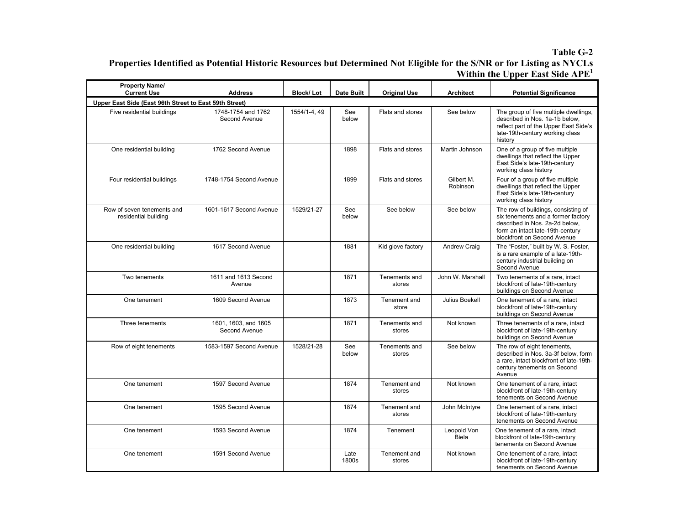#### **Table G-2 Properties Identified as Potential Historic Resources but Determined Not Eligible for the S/NR or for Listing as NYCLs Within the Upper East Side APE<sup>1</sup>**

| <b>Property Name/</b><br><b>Current Use</b>            | <b>Address</b>                        | <b>Block/Lot</b> | Date Built    | <b>Original Use</b>     | <b>Architect</b>            | <b>Potential Significance</b>                                                                                                                                                  |
|--------------------------------------------------------|---------------------------------------|------------------|---------------|-------------------------|-----------------------------|--------------------------------------------------------------------------------------------------------------------------------------------------------------------------------|
| Upper East Side (East 96th Street to East 59th Street) |                                       |                  |               |                         |                             |                                                                                                                                                                                |
| Five residential buildings                             | 1748-1754 and 1762<br>Second Avenue   | 1554/1-4, 49     | See<br>below  | Flats and stores        | See below                   | The group of five multiple dwellings,<br>described in Nos. 1a-1b below,<br>reflect part of the Upper East Side's<br>late-19th-century working class<br>history                 |
| One residential building                               | 1762 Second Avenue                    |                  | 1898          | Flats and stores        | Martin Johnson              | One of a group of five multiple<br>dwellings that reflect the Upper<br>East Side's late-19th-century<br>working class history                                                  |
| Four residential buildings                             | 1748-1754 Second Avenue               |                  | 1899          | Flats and stores        | Gilbert M.<br>Robinson      | Four of a group of five multiple<br>dwellings that reflect the Upper<br>East Side's late-19th-century<br>working class history                                                 |
| Row of seven tenements and<br>residential building     | 1601-1617 Second Avenue               | 1529/21-27       | See<br>below  | See below               | See below                   | The row of buildings, consisting of<br>six tenements and a former factory<br>described in Nos. 2a-2d below,<br>form an intact late-19th-century<br>blockfront on Second Avenue |
| One residential building                               | 1617 Second Avenue                    |                  | 1881          | Kid glove factory       | Andrew Craig                | The "Foster," built by W. S. Foster,<br>is a rare example of a late-19th-<br>century industrial building on<br>Second Avenue                                                   |
| Two tenements                                          | 1611 and 1613 Second<br>Avenue        |                  | 1871          | Tenements and<br>stores | John W. Marshall            | Two tenements of a rare, intact<br>blockfront of late-19th-century<br>buildings on Second Avenue                                                                               |
| One tenement                                           | 1609 Second Avenue                    |                  | 1873          | Tenement and<br>store   | Julius Boekell              | One tenement of a rare, intact<br>blockfront of late-19th-century<br>buildings on Second Avenue                                                                                |
| Three tenements                                        | 1601, 1603, and 1605<br>Second Avenue |                  | 1871          | Tenements and<br>stores | Not known                   | Three tenements of a rare, intact<br>blockfront of late-19th-century<br>buildings on Second Avenue                                                                             |
| Row of eight tenements                                 | 1583-1597 Second Avenue               | 1528/21-28       | See<br>below  | Tenements and<br>stores | See below                   | The row of eight tenements,<br>described in Nos. 3a-3f below, form<br>a rare, intact blockfront of late-19th-<br>century tenements on Second<br>Avenue                         |
| One tenement                                           | 1597 Second Avenue                    |                  | 1874          | Tenement and<br>stores  | Not known                   | One tenement of a rare, intact<br>blockfront of late-19th-century<br>tenements on Second Avenue                                                                                |
| One tenement                                           | 1595 Second Avenue                    |                  | 1874          | Tenement and<br>stores  | John McIntyre               | One tenement of a rare, intact<br>blockfront of late-19th-century<br>tenements on Second Avenue                                                                                |
| One tenement                                           | 1593 Second Avenue                    |                  | 1874          | Tenement                | Leopold Von<br><b>Biela</b> | One tenement of a rare, intact<br>blockfront of late-19th-century<br>tenements on Second Avenue                                                                                |
| One tenement                                           | 1591 Second Avenue                    |                  | Late<br>1800s | Tenement and<br>stores  | Not known                   | One tenement of a rare, intact<br>blockfront of late-19th-century<br>tenements on Second Avenue                                                                                |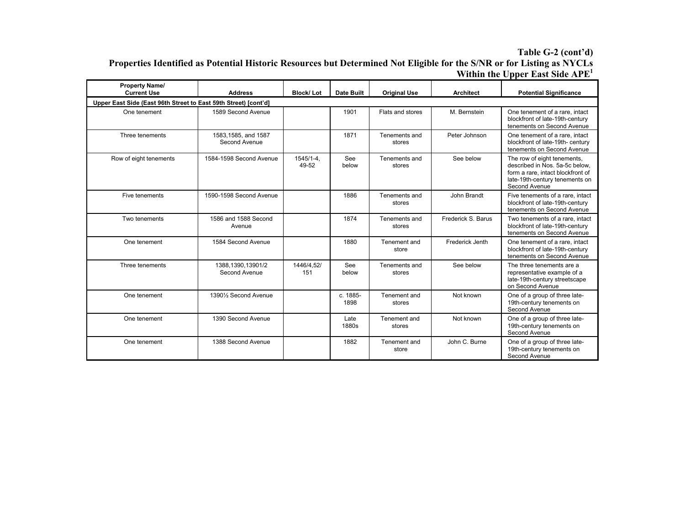#### **Table G-2 (cont'd) Properties Identified as Potential Historic Resources but Determined Not Eligible for the S/NR or for Listing as NYCLs Within the Upper East Side APE<sup>1</sup>**

| <b>Property Name/</b><br><b>Current Use</b>                     | <b>Address</b>                        | <b>Block/Lot</b>   | <b>Date Built</b> | <b>Original Use</b>     | <b>Architect</b>   | <b>Potential Significance</b>                                                                                                                         |  |  |  |  |
|-----------------------------------------------------------------|---------------------------------------|--------------------|-------------------|-------------------------|--------------------|-------------------------------------------------------------------------------------------------------------------------------------------------------|--|--|--|--|
| Upper East Side (East 96th Street to East 59th Street) [cont'd] |                                       |                    |                   |                         |                    |                                                                                                                                                       |  |  |  |  |
| One tenement                                                    | 1589 Second Avenue                    |                    | 1901              | Flats and stores        | M. Bernstein       | One tenement of a rare, intact<br>blockfront of late-19th-century<br>tenements on Second Avenue                                                       |  |  |  |  |
| Three tenements                                                 | 1583, 1585, and 1587<br>Second Avenue |                    | 1871              | Tenements and<br>stores | Peter Johnson      | One tenement of a rare, intact<br>blockfront of late-19th- century<br>tenements on Second Avenue                                                      |  |  |  |  |
| Row of eight tenements                                          | 1584-1598 Second Avenue               | 1545/1-4.<br>49-52 | See<br>below      | Tenements and<br>stores | See below          | The row of eight tenements,<br>described in Nos. 5a-5c below.<br>form a rare, intact blockfront of<br>late-19th-century tenements on<br>Second Avenue |  |  |  |  |
| Five tenements                                                  | 1590-1598 Second Avenue               |                    | 1886              | Tenements and<br>stores | John Brandt        | Five tenements of a rare, intact<br>blockfront of late-19th-century<br>tenements on Second Avenue                                                     |  |  |  |  |
| Two tenements                                                   | 1586 and 1588 Second<br>Avenue        |                    | 1874              | Tenements and<br>stores | Frederick S. Barus | Two tenements of a rare, intact<br>blockfront of late-19th-century<br>tenements on Second Avenue                                                      |  |  |  |  |
| One tenement                                                    | 1584 Second Avenue                    |                    | 1880              | Tenement and<br>store   | Frederick Jenth    | One tenement of a rare, intact<br>blockfront of late-19th-century<br>tenements on Second Avenue                                                       |  |  |  |  |
| Three tenements                                                 | 1388,1390,13901/2<br>Second Avenue    | 1446/4,52/<br>151  | See<br>below      | Tenements and<br>stores | See below          | The three tenements are a<br>representative example of a<br>late-19th-century streetscape<br>on Second Avenue                                         |  |  |  |  |
| One tenement                                                    | 13901/ <sub>2</sub> Second Avenue     |                    | c. 1885-<br>1898  | Tenement and<br>stores  | Not known          | One of a group of three late-<br>19th-century tenements on<br>Second Avenue                                                                           |  |  |  |  |
| One tenement                                                    | 1390 Second Avenue                    |                    | Late<br>1880s     | Tenement and<br>stores  | Not known          | One of a group of three late-<br>19th-century tenements on<br>Second Avenue                                                                           |  |  |  |  |
| One tenement                                                    | 1388 Second Avenue                    |                    | 1882              | Tenement and<br>store   | John C. Burne      | One of a group of three late-<br>19th-century tenements on<br>Second Avenue                                                                           |  |  |  |  |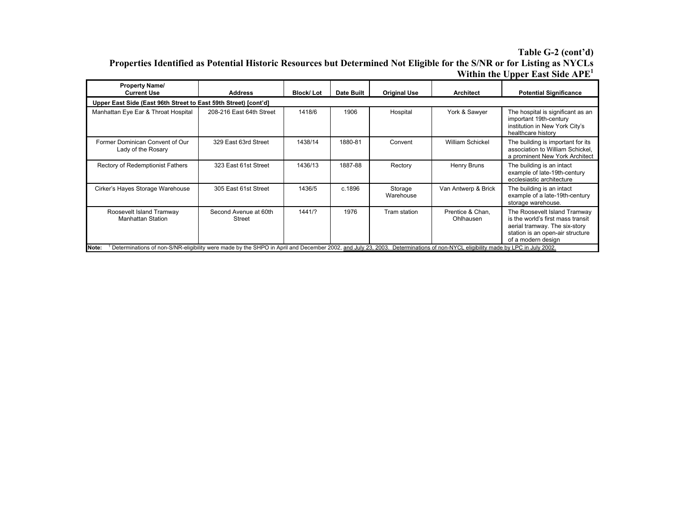#### **Table G-2 (cont'd) Properties Identified as Potential Historic Resources but Determined Not Eligible for the S/NR or for Listing as NYCLs Within the Upper East Side APE<sup>1</sup>**

| <b>Property Name/</b><br><b>Current Use</b>                     | <b>Address</b>                                                                                                                                                                  | <b>Block/Lot</b> | Date Built | <b>Original Use</b>  | Architect                     | <b>Potential Significance</b>                                                                                                                                |  |  |  |
|-----------------------------------------------------------------|---------------------------------------------------------------------------------------------------------------------------------------------------------------------------------|------------------|------------|----------------------|-------------------------------|--------------------------------------------------------------------------------------------------------------------------------------------------------------|--|--|--|
| Upper East Side (East 96th Street to East 59th Street) [cont'd] |                                                                                                                                                                                 |                  |            |                      |                               |                                                                                                                                                              |  |  |  |
| Manhattan Eye Ear & Throat Hospital                             | 208-216 East 64th Street                                                                                                                                                        | 1418/6           | 1906       | Hospital             | York & Sawyer                 | The hospital is significant as an<br>important 19th-century<br>institution in New York City's<br>healthcare history                                          |  |  |  |
| Former Dominican Convent of Our<br>Lady of the Rosary           | 329 East 63rd Street                                                                                                                                                            | 1438/14          | 1880-81    | Convent              | William Schickel              | The building is important for its<br>association to William Schickel,<br>a prominent New York Architect                                                      |  |  |  |
| Rectory of Redemptionist Fathers                                | 323 East 61st Street                                                                                                                                                            | 1436/13          | 1887-88    | Rectory              | Henry Bruns                   | The building is an intact<br>example of late-19th-century<br>ecclesiastic architecture                                                                       |  |  |  |
| Cirker's Hayes Storage Warehouse                                | 305 East 61st Street                                                                                                                                                            | 1436/5           | c.1896     | Storage<br>Warehouse | Van Antwerp & Brick           | The building is an intact<br>example of a late-19th-century<br>storage warehouse.                                                                            |  |  |  |
| Roosevelt Island Tramway<br><b>Manhattan Station</b>            | Second Avenue at 60th<br>Street                                                                                                                                                 | 1441/?           | 1976       | Tram station         | Prentice & Chan.<br>Ohlhausen | The Roosevelt Island Tramway<br>is the world's first mass transit<br>aerial tramway. The six-story<br>station is an open-air structure<br>of a modern design |  |  |  |
| Note:                                                           | Determinations of non-S/NR-eligibility were made by the SHPO in April and December 2002, and July 23, 2003.<br>Determinations of non-NYCL eligibility made by LPC in July 2002. |                  |            |                      |                               |                                                                                                                                                              |  |  |  |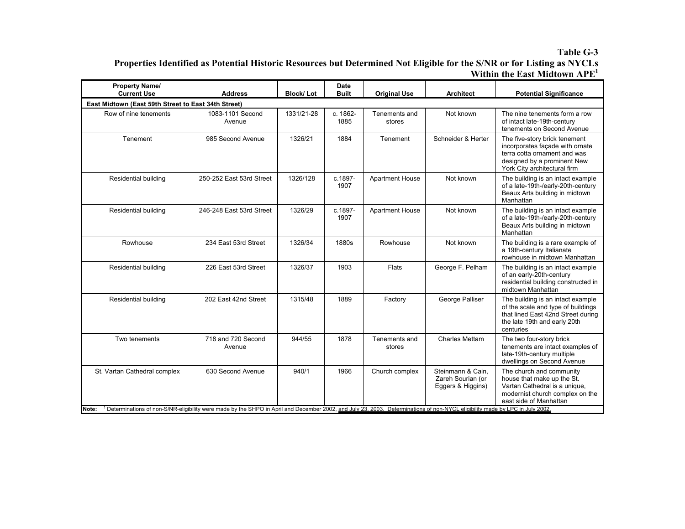#### **Table G-3 Properties Identified as Potential Historic Resources but Determined Not Eligible for the S/NR or for Listing as NYCLs Within the East Midtown APE<sup>1</sup>**

| <b>Current Use</b>                                  | <b>Address</b>                                                                                                                                                                                    | <b>Block/Lot</b> | Date<br><b>Built</b> | <b>Original Use</b>     | <b>Architect</b>                                            | <b>Potential Significance</b>                                                                                                                                   |  |  |  |  |
|-----------------------------------------------------|---------------------------------------------------------------------------------------------------------------------------------------------------------------------------------------------------|------------------|----------------------|-------------------------|-------------------------------------------------------------|-----------------------------------------------------------------------------------------------------------------------------------------------------------------|--|--|--|--|
| East Midtown (East 59th Street to East 34th Street) |                                                                                                                                                                                                   |                  |                      |                         |                                                             |                                                                                                                                                                 |  |  |  |  |
| Row of nine tenements                               | 1083-1101 Second<br>Avenue                                                                                                                                                                        | 1331/21-28       | c. 1862-<br>1885     | Tenements and<br>stores | Not known                                                   | The nine tenements form a row<br>of intact late-19th-century<br>tenements on Second Avenue                                                                      |  |  |  |  |
| Tenement                                            | 985 Second Avenue                                                                                                                                                                                 | 1326/21          | 1884                 | Tenement                | Schneider & Herter                                          | The five-story brick tenement<br>incorporates façade with ornate<br>terra cotta ornament and was<br>designed by a prominent New<br>York City architectural firm |  |  |  |  |
| Residential building                                | 250-252 East 53rd Street                                                                                                                                                                          | 1326/128         | c.1897-<br>1907      | <b>Apartment House</b>  | Not known                                                   | The building is an intact example<br>of a late-19th-/early-20th-century<br>Beaux Arts building in midtown<br>Manhattan                                          |  |  |  |  |
| Residential building                                | 246-248 East 53rd Street                                                                                                                                                                          | 1326/29          | c.1897-<br>1907      | <b>Apartment House</b>  | Not known                                                   | The building is an intact example<br>of a late-19th-/early-20th-century<br>Beaux Arts building in midtown<br>Manhattan                                          |  |  |  |  |
| Rowhouse                                            | 234 East 53rd Street                                                                                                                                                                              | 1326/34          | 1880s                | Rowhouse                | Not known                                                   | The building is a rare example of<br>a 19th-century Italianate<br>rowhouse in midtown Manhattan                                                                 |  |  |  |  |
| Residential building                                | 226 East 53rd Street                                                                                                                                                                              | 1326/37          | 1903                 | Flats                   | George F. Pelham                                            | The building is an intact example<br>of an early-20th-century<br>residential building constructed in<br>midtown Manhattan                                       |  |  |  |  |
| Residential building                                | 202 East 42nd Street                                                                                                                                                                              | 1315/48          | 1889                 | Factory                 | George Palliser                                             | The building is an intact example<br>of the scale and type of buildings<br>that lined East 42nd Street during<br>the late 19th and early 20th<br>centuries      |  |  |  |  |
| Two tenements                                       | 718 and 720 Second<br>Avenue                                                                                                                                                                      | 944/55           | 1878                 | Tenements and<br>stores | <b>Charles Mettam</b>                                       | The two four-story brick<br>tenements are intact examples of<br>late-19th-century multiple<br>dwellings on Second Avenue                                        |  |  |  |  |
| St. Vartan Cathedral complex<br>Note:               | 630 Second Avenue<br>Determinations of non-S/NR-eligibility were made by the SHPO in April and December 2002, and July 23, 2003. Determinations of non-NYCL eligibility made by LPC in July 2002. | 940/1            | 1966                 | Church complex          | Steinmann & Cain.<br>Zareh Sourian (or<br>Eggers & Higgins) | The church and community<br>house that make up the St.<br>Vartan Cathedral is a unique,<br>modernist church complex on the<br>east side of Manhattan            |  |  |  |  |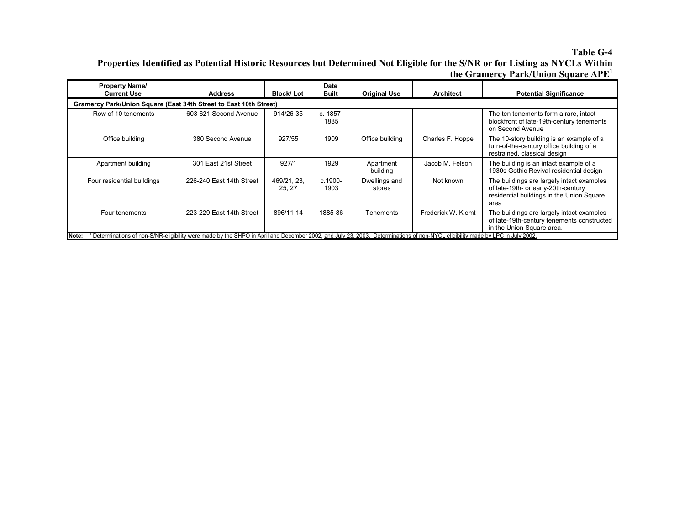#### **Table G-4 Properties Identified as Potential Historic Resources but Determined Not Eligible for the S/NR or for Listing as NYCLs Within the Gramercy Park/Union Square APE<sup>1</sup>**

| <b>Property Name/</b><br><b>Current Use</b>                       | <b>Address</b>                                                                                                                                                               | <b>Block/Lot</b>      | Date<br><b>Built</b> | <b>Original Use</b>     | <b>Architect</b>   | <b>Potential Significance</b>                                                                                                         |  |  |  |  |
|-------------------------------------------------------------------|------------------------------------------------------------------------------------------------------------------------------------------------------------------------------|-----------------------|----------------------|-------------------------|--------------------|---------------------------------------------------------------------------------------------------------------------------------------|--|--|--|--|
| Gramercy Park/Union Square (East 34th Street to East 10th Street) |                                                                                                                                                                              |                       |                      |                         |                    |                                                                                                                                       |  |  |  |  |
| Row of 10 tenements                                               | 603-621 Second Avenue                                                                                                                                                        | 914/26-35             | c. 1857-<br>1885     |                         |                    | The ten tenements form a rare, intact<br>blockfront of late-19th-century tenements<br>on Second Avenue                                |  |  |  |  |
| Office building                                                   | 380 Second Avenue                                                                                                                                                            | 927/55                | 1909                 | Office building         | Charles F. Hoppe   | The 10-story building is an example of a<br>turn-of-the-century office building of a<br>restrained, classical design                  |  |  |  |  |
| Apartment building                                                | 301 East 21st Street                                                                                                                                                         | 927/1                 | 1929                 | Apartment<br>building   | Jacob M. Felson    | The building is an intact example of a<br>1930s Gothic Revival residential design                                                     |  |  |  |  |
| Four residential buildings                                        | 226-240 East 14th Street                                                                                                                                                     | 469/21, 23,<br>25, 27 | c.1900-<br>1903      | Dwellings and<br>stores | Not known          | The buildings are largely intact examples<br>of late-19th- or early-20th-century<br>residential buildings in the Union Square<br>area |  |  |  |  |
| Four tenements                                                    | 223-229 East 14th Street                                                                                                                                                     | 896/11-14             | 1885-86              | <b>Tenements</b>        | Frederick W. Klemt | The buildings are largely intact examples<br>of late-19th-century tenements constructed<br>in the Union Square area.                  |  |  |  |  |
| Note:                                                             | Determinations of non-S/NR-eligibility were made by the SHPO in April and December 2002, and July 23, 2003. Determinations of non-NYCL eligibility made by LPC in July 2002. |                       |                      |                         |                    |                                                                                                                                       |  |  |  |  |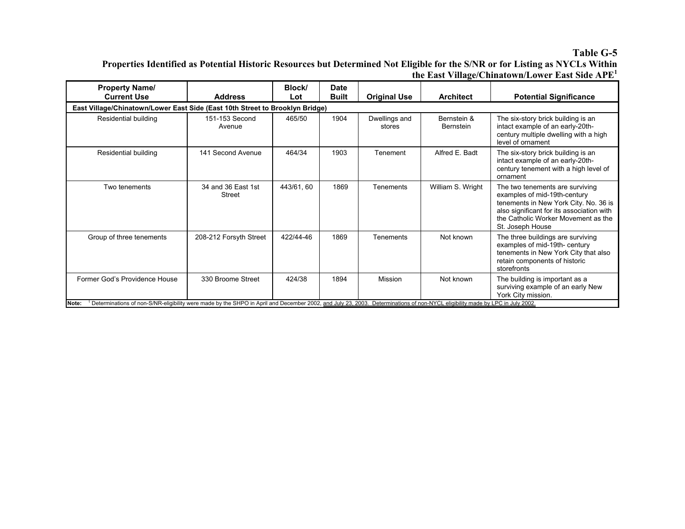#### **Table G-5**

**Properties Identified as Potential Historic Resources but Determined Not Eligible for the S/NR or for Listing as NYCLs Within the East Village/Chinatown/Lower East Side APE<sup>1</sup>**

| <b>Property Name/</b><br><b>Current Use</b>                                                                                                                                                                            | <b>Address</b>                      | Block/<br>Lot | <b>Date</b><br><b>Built</b> | <b>Original Use</b>     | <b>Architect</b>         | <b>Potential Significance</b>                                                                                                                                                                                    |  |  |  |  |
|------------------------------------------------------------------------------------------------------------------------------------------------------------------------------------------------------------------------|-------------------------------------|---------------|-----------------------------|-------------------------|--------------------------|------------------------------------------------------------------------------------------------------------------------------------------------------------------------------------------------------------------|--|--|--|--|
| East Village/Chinatown/Lower East Side (East 10th Street to Brooklyn Bridge)                                                                                                                                           |                                     |               |                             |                         |                          |                                                                                                                                                                                                                  |  |  |  |  |
| Residential building                                                                                                                                                                                                   | 151-153 Second<br>Avenue            | 465/50        | 1904                        | Dwellings and<br>stores | Bernstein &<br>Bernstein | The six-story brick building is an<br>intact example of an early-20th-<br>century multiple dwelling with a high<br>level of ornament                                                                             |  |  |  |  |
| Residential building                                                                                                                                                                                                   | 141 Second Avenue                   | 464/34        | 1903                        | Tenement                | Alfred E. Badt           | The six-story brick building is an<br>intact example of an early-20th-<br>century tenement with a high level of<br>ornament                                                                                      |  |  |  |  |
| Two tenements                                                                                                                                                                                                          | 34 and 36 East 1st<br><b>Street</b> | 443/61, 60    | 1869                        | Tenements               | William S. Wright        | The two tenements are surviving<br>examples of mid-19th-century<br>tenements in New York City. No. 36 is<br>also significant for its association with<br>the Catholic Worker Movement as the<br>St. Joseph House |  |  |  |  |
| Group of three tenements                                                                                                                                                                                               | 208-212 Forsyth Street              | 422/44-46     | 1869                        | Tenements               | Not known                | The three buildings are surviving<br>examples of mid-19th- century<br>tenements in New York City that also<br>retain components of historic<br>storefronts                                                       |  |  |  |  |
| Former God's Providence House<br>Determinations of non-S/NR-eligibility were made by the SHPO in April and December 2002, and July 23, 2003. Determinations of non-NYCL eligibility made by LPC in July 2002.<br>Note: | 330 Broome Street                   | 424/38        | 1894                        | Mission                 | Not known                | The building is important as a<br>surviving example of an early New<br>York City mission.                                                                                                                        |  |  |  |  |